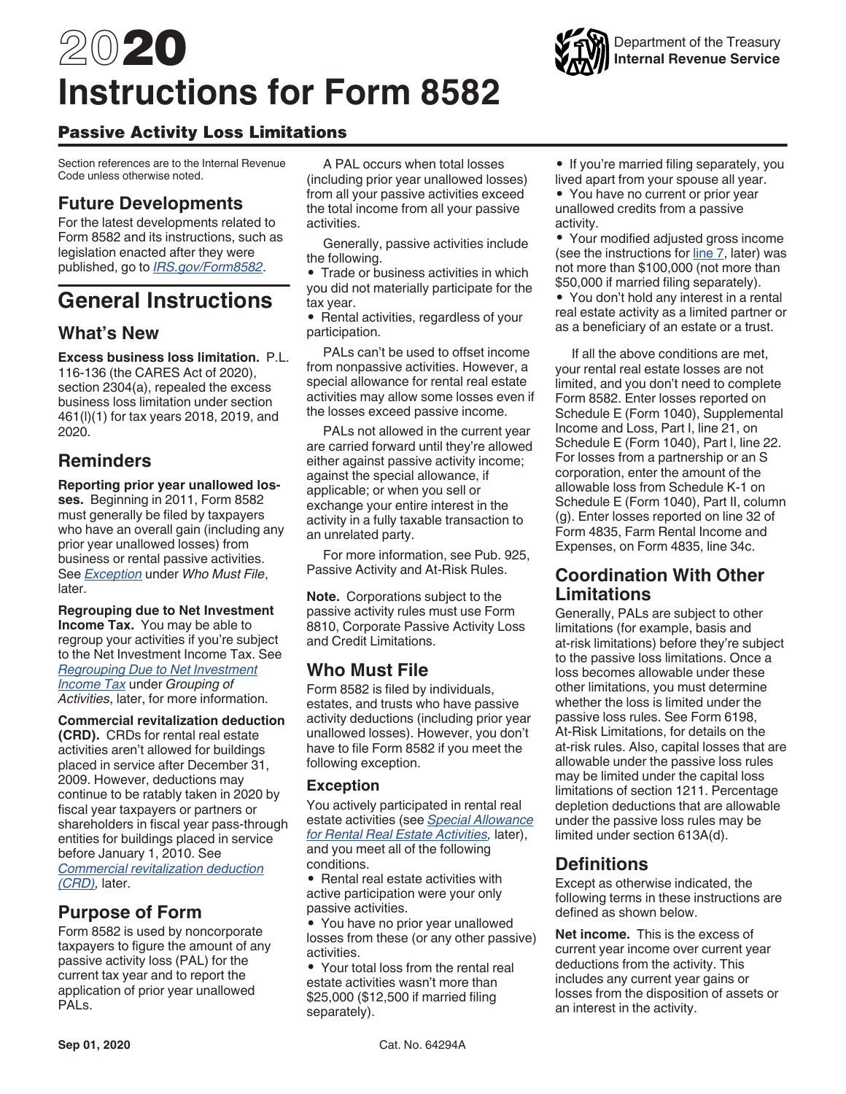# <span id="page-0-0"></span>2020 **Instructions for Form 8582**

# Passive Activity Loss Limitations

Section references are to the Internal Revenue Code unless otherwise noted.

# **Future Developments**

For the latest developments related to Form 8582 and its instructions, such as legislation enacted after they were published, go to *[IRS.gov/Form8582](https://www.irs.gov/form8582)*.

# **General Instructions**

# **What's New**

**Excess business loss limitation.** P.L. 116-136 (the CARES Act of 2020), section 2304(a), repealed the excess business loss limitation under section 461(l)(1) for tax years 2018, 2019, and 2020.

# **Reminders**

**Reporting prior year unallowed losses.** Beginning in 2011, Form 8582 must generally be filed by taxpayers who have an overall gain (including any prior year unallowed losses) from business or rental passive activities. See *Exception* under *Who Must File*, later.

**Regrouping due to Net Investment Income Tax.** You may be able to regroup your activities if you're subject to the Net Investment Income Tax. See *[Regrouping Due to Net Investment](#page-4-0) [Income Tax](#page-4-0)* under *Grouping of Activities*, later, for more information.

**Commercial revitalization deduction (CRD).** CRDs for rental real estate activities aren't allowed for buildings placed in service after December 31, 2009. However, deductions may continue to be ratably taken in 2020 by fiscal year taxpayers or partners or shareholders in fiscal year pass-through entities for buildings placed in service before January 1, 2010. See *[Commercial revitalization deduction](#page-3-0)  [\(CRD\),](#page-3-0)* later.

# **Purpose of Form**

Form 8582 is used by noncorporate taxpayers to figure the amount of any passive activity loss (PAL) for the current tax year and to report the application of prior year unallowed PALs.

A PAL occurs when total losses (including prior year unallowed losses) from all your passive activities exceed the total income from all your passive activities.

Generally, passive activities include the following.

• Trade or business activities in which you did not materially participate for the tax year.

• Rental activities, regardless of your participation.

PALs can't be used to offset income from nonpassive activities. However, a special allowance for rental real estate activities may allow some losses even if the losses exceed passive income.

PALs not allowed in the current year are carried forward until they're allowed either against passive activity income; against the special allowance, if applicable; or when you sell or exchange your entire interest in the activity in a fully taxable transaction to an unrelated party.

For more information, see Pub. 925, Passive Activity and At-Risk Rules.

**Note.** Corporations subject to the passive activity rules must use Form 8810, Corporate Passive Activity Loss and Credit Limitations.

# **Who Must File**

Form 8582 is filed by individuals, estates, and trusts who have passive activity deductions (including prior year unallowed losses). However, you don't have to file Form 8582 if you meet the following exception.

## **Exception**

You actively participated in rental real estate activities (see *[Special Allowance](#page-2-0) [for Rental Real Estate Activities](#page-2-0),* later), and you meet all of the following conditions.

• Rental real estate activities with active participation were your only passive activities.

• You have no prior year unallowed losses from these (or any other passive) activities.

• Your total loss from the rental real estate activities wasn't more than \$25,000 (\$12,500 if married filing separately).

• If you're married filing separately, you lived apart from your spouse all year.

• You have no current or prior year unallowed credits from a passive activity.

• Your modified adjusted gross income (see the instructions for [line 7](#page-8-0), later) was not more than \$100,000 (not more than \$50,000 if married filing separately).

• You don't hold any interest in a rental real estate activity as a limited partner or as a beneficiary of an estate or a trust.

If all the above conditions are met, your rental real estate losses are not limited, and you don't need to complete Form 8582. Enter losses reported on Schedule E (Form 1040), Supplemental Income and Loss, Part I, line 21, on Schedule E (Form 1040), Part l, line 22. For losses from a partnership or an S corporation, enter the amount of the allowable loss from Schedule K-1 on Schedule E (Form 1040), Part II, column (g). Enter losses reported on line 32 of Form 4835, Farm Rental Income and Expenses, on Form 4835, line 34c.

# **Coordination With Other Limitations**

Generally, PALs are subject to other limitations (for example, basis and at-risk limitations) before they're subject to the passive loss limitations. Once a loss becomes allowable under these other limitations, you must determine whether the loss is limited under the passive loss rules. See Form 6198, At-Risk Limitations, for details on the at-risk rules. Also, capital losses that are allowable under the passive loss rules may be limited under the capital loss limitations of section 1211. Percentage depletion deductions that are allowable under the passive loss rules may be limited under section 613A(d).

# **Definitions**

Except as otherwise indicated, the following terms in these instructions are defined as shown below.

**Net income.** This is the excess of current year income over current year deductions from the activity. This includes any current year gains or losses from the disposition of assets or an interest in the activity.

Department of the Treasury **Internal Revenue Service**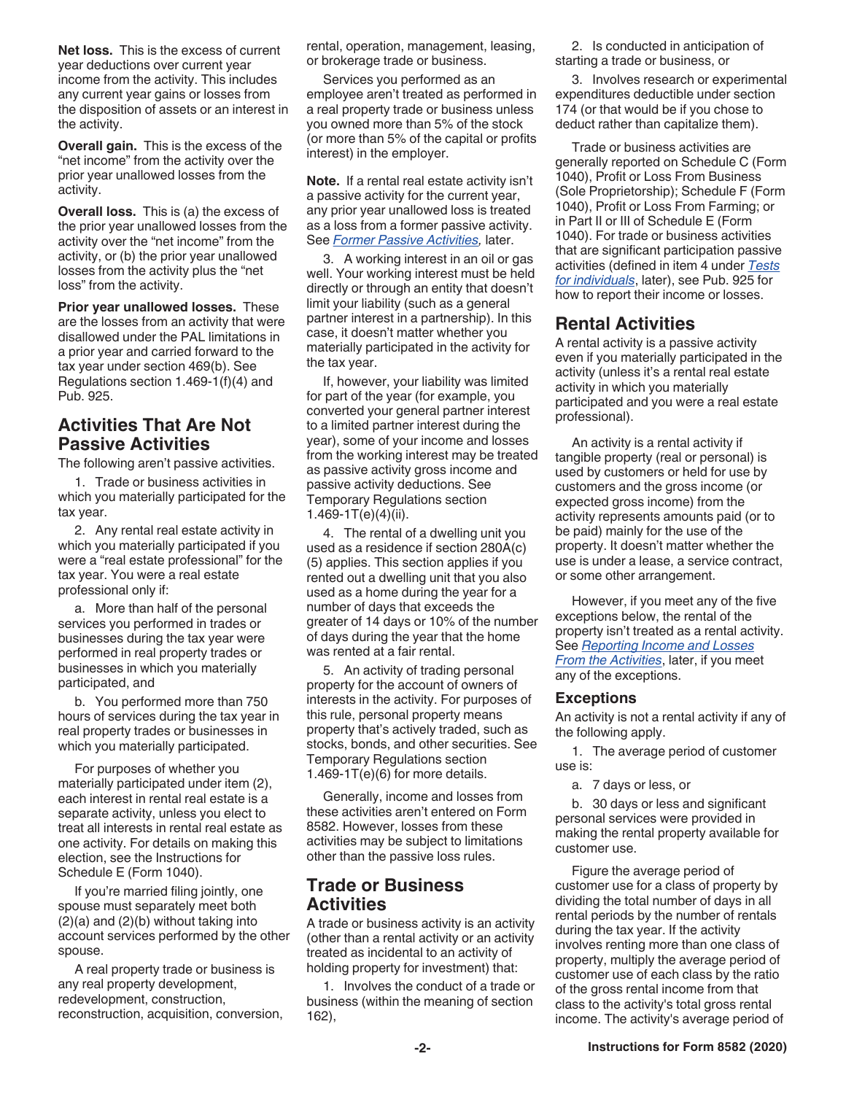<span id="page-1-0"></span>**Net loss.** This is the excess of current year deductions over current year income from the activity. This includes any current year gains or losses from the disposition of assets or an interest in the activity.

**Overall gain.** This is the excess of the "net income" from the activity over the prior year unallowed losses from the activity.

**Overall loss.** This is (a) the excess of the prior year unallowed losses from the activity over the "net income" from the activity, or (b) the prior year unallowed losses from the activity plus the "net loss" from the activity.

**Prior year unallowed losses.** These are the losses from an activity that were disallowed under the PAL limitations in a prior year and carried forward to the tax year under section 469(b). See Regulations section 1.469-1(f)(4) and Pub. 925.

# **Activities That Are Not Passive Activities**

The following aren't passive activities.

1. Trade or business activities in which you materially participated for the tax year.

2. Any rental real estate activity in which you materially participated if you were a "real estate professional" for the tax year. You were a real estate professional only if:

a. More than half of the personal services you performed in trades or businesses during the tax year were performed in real property trades or businesses in which you materially participated, and

b. You performed more than 750 hours of services during the tax year in real property trades or businesses in which you materially participated.

For purposes of whether you materially participated under item (2), each interest in rental real estate is a separate activity, unless you elect to treat all interests in rental real estate as one activity. For details on making this election, see the Instructions for Schedule E (Form 1040).

If you're married filing jointly, one spouse must separately meet both (2)(a) and (2)(b) without taking into account services performed by the other spouse.

A real property trade or business is any real property development, redevelopment, construction, reconstruction, acquisition, conversion, rental, operation, management, leasing, or brokerage trade or business.

Services you performed as an employee aren't treated as performed in a real property trade or business unless you owned more than 5% of the stock (or more than 5% of the capital or profits interest) in the employer.

**Note.** If a rental real estate activity isn't a passive activity for the current year, any prior year unallowed loss is treated as a loss from a former passive activity. See *[Former Passive Activities](#page-6-0),* later.

3. A working interest in an oil or gas well. Your working interest must be held directly or through an entity that doesn't limit your liability (such as a general partner interest in a partnership). In this case, it doesn't matter whether you materially participated in the activity for the tax year.

If, however, your liability was limited for part of the year (for example, you converted your general partner interest to a limited partner interest during the year), some of your income and losses from the working interest may be treated as passive activity gross income and passive activity deductions. See Temporary Regulations section 1.469-1T(e)(4)(ii).

4. The rental of a dwelling unit you used as a residence if section 280A(c) (5) applies. This section applies if you rented out a dwelling unit that you also used as a home during the year for a number of days that exceeds the greater of 14 days or 10% of the number of days during the year that the home was rented at a fair rental.

5. An activity of trading personal property for the account of owners of interests in the activity. For purposes of this rule, personal property means property that's actively traded, such as stocks, bonds, and other securities. See Temporary Regulations section  $1.469 - 1T(e)(6)$  for more details.

Generally, income and losses from these activities aren't entered on Form 8582. However, losses from these activities may be subject to limitations other than the passive loss rules.

# **Trade or Business Activities**

A trade or business activity is an activity (other than a rental activity or an activity treated as incidental to an activity of holding property for investment) that:

1. Involves the conduct of a trade or business (within the meaning of section 162),

2. Is conducted in anticipation of starting a trade or business, or

3. Involves research or experimental expenditures deductible under section 174 (or that would be if you chose to deduct rather than capitalize them).

Trade or business activities are generally reported on Schedule C (Form 1040), Profit or Loss From Business (Sole Proprietorship); Schedule F (Form 1040), Profit or Loss From Farming; or in Part II or III of Schedule E (Form 1040). For trade or business activities that are significant participation passive activities (defined in item 4 under *[Tests](#page-3-0)  [for individuals](#page-3-0)*, later), see Pub. 925 for how to report their income or losses.

# **Rental Activities**

A rental activity is a passive activity even if you materially participated in the activity (unless it's a rental real estate activity in which you materially participated and you were a real estate professional).

An activity is a rental activity if tangible property (real or personal) is used by customers or held for use by customers and the gross income (or expected gross income) from the activity represents amounts paid (or to be paid) mainly for the use of the property. It doesn't matter whether the use is under a lease, a service contract, or some other arrangement.

However, if you meet any of the five exceptions below, the rental of the property isn't treated as a rental activity. See *[Reporting Income and Losses](#page-2-0) [From the Activities](#page-2-0)*, later, if you meet any of the exceptions.

## **Exceptions**

An activity is not a rental activity if any of the following apply.

1. The average period of customer use is:

a. 7 days or less, or

b. 30 days or less and significant personal services were provided in making the rental property available for customer use.

Figure the average period of customer use for a class of property by dividing the total number of days in all rental periods by the number of rentals during the tax year. If the activity involves renting more than one class of property, multiply the average period of customer use of each class by the ratio of the gross rental income from that class to the activity's total gross rental income. The activity's average period of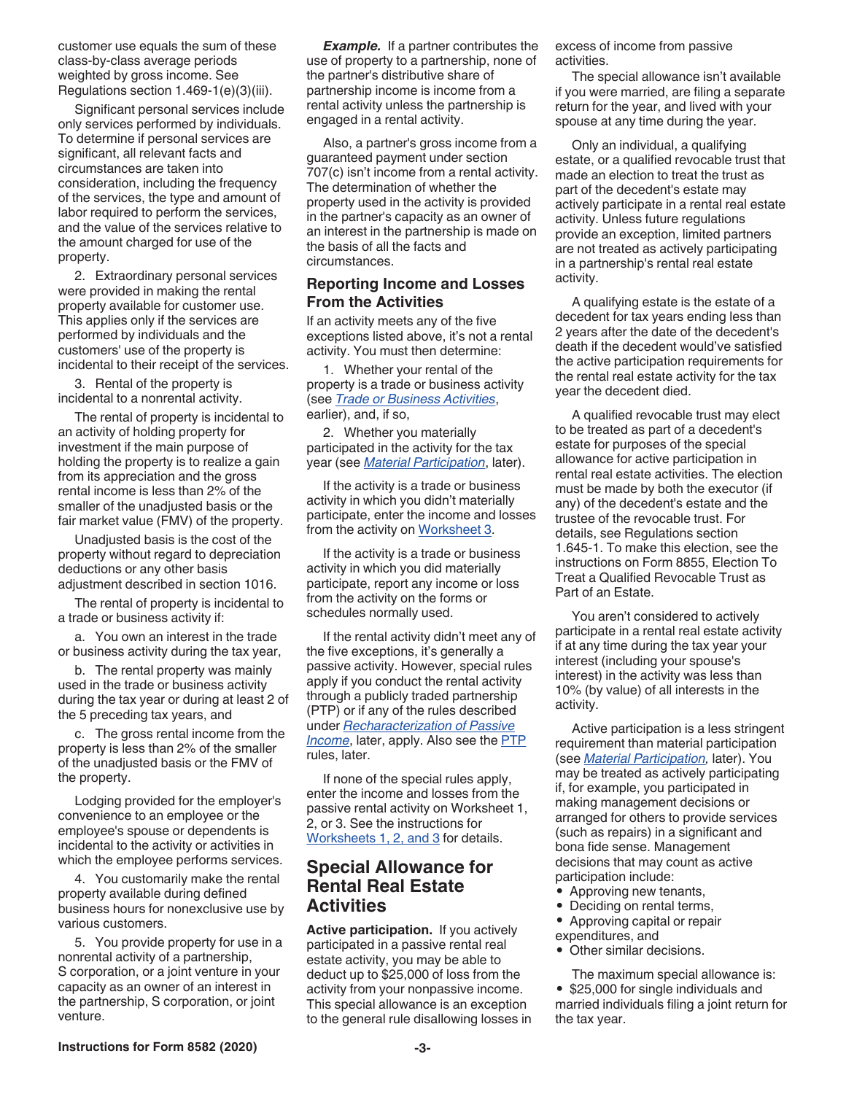<span id="page-2-0"></span>customer use equals the sum of these class-by-class average periods weighted by gross income. See Regulations section 1.469-1(e)(3)(iii).

Significant personal services include only services performed by individuals. To determine if personal services are significant, all relevant facts and circumstances are taken into consideration, including the frequency of the services, the type and amount of labor required to perform the services, and the value of the services relative to the amount charged for use of the property.

2. Extraordinary personal services were provided in making the rental property available for customer use. This applies only if the services are performed by individuals and the customers' use of the property is incidental to their receipt of the services.

3. Rental of the property is incidental to a nonrental activity.

The rental of property is incidental to an activity of holding property for investment if the main purpose of holding the property is to realize a gain from its appreciation and the gross rental income is less than 2% of the smaller of the unadjusted basis or the fair market value (FMV) of the property.

Unadjusted basis is the cost of the property without regard to depreciation deductions or any other basis adjustment described in section 1016.

The rental of property is incidental to a trade or business activity if:

a. You own an interest in the trade or business activity during the tax year,

b. The rental property was mainly used in the trade or business activity during the tax year or during at least 2 of the 5 preceding tax years, and

c. The gross rental income from the property is less than 2% of the smaller of the unadjusted basis or the FMV of the property.

Lodging provided for the employer's convenience to an employee or the employee's spouse or dependents is incidental to the activity or activities in which the employee performs services.

4. You customarily make the rental property available during defined business hours for nonexclusive use by various customers.

5. You provide property for use in a nonrental activity of a partnership, S corporation, or a joint venture in your capacity as an owner of an interest in the partnership, S corporation, or joint venture.

*Example.* If a partner contributes the use of property to a partnership, none of the partner's distributive share of partnership income is income from a rental activity unless the partnership is engaged in a rental activity.

Also, a partner's gross income from a guaranteed payment under section 707(c) isn't income from a rental activity. The determination of whether the property used in the activity is provided in the partner's capacity as an owner of an interest in the partnership is made on the basis of all the facts and circumstances.

## **Reporting Income and Losses From the Activities**

If an activity meets any of the five exceptions listed above, it's not a rental activity. You must then determine:

1. Whether your rental of the property is a trade or business activity (see *[Trade or Business Activities](#page-1-0)*, earlier), and, if so,

2. Whether you materially participated in the activity for the tax year (see *[Material Participation](#page-3-0)*, later).

If the activity is a trade or business activity in which you didn't materially participate, enter the income and losses from the activity on [Worksheet 3.](#page-8-0)

If the activity is a trade or business activity in which you did materially participate, report any income or loss from the activity on the forms or schedules normally used.

If the rental activity didn't meet any of the five exceptions, it's generally a passive activity. However, special rules apply if you conduct the rental activity through a publicly traded partnership (PTP) or if any of the rules described under *[Recharacterization of Passive](#page-6-0)  [Income](#page-6-0)*, later, apply. Also see the **PTP** rules, later.

If none of the special rules apply, enter the income and losses from the passive rental activity on Worksheet 1, 2, or 3. See the instructions for [Worksheets 1, 2, and 3](#page-7-0) for details.

# **Special Allowance for Rental Real Estate Activities**

**Active participation.** If you actively participated in a passive rental real estate activity, you may be able to deduct up to \$25,000 of loss from the activity from your nonpassive income. This special allowance is an exception to the general rule disallowing losses in excess of income from passive activities.

The special allowance isn't available if you were married, are filing a separate return for the year, and lived with your spouse at any time during the year.

Only an individual, a qualifying estate, or a qualified revocable trust that made an election to treat the trust as part of the decedent's estate may actively participate in a rental real estate activity. Unless future regulations provide an exception, limited partners are not treated as actively participating in a partnership's rental real estate activity.

A qualifying estate is the estate of a decedent for tax years ending less than 2 years after the date of the decedent's death if the decedent would've satisfied the active participation requirements for the rental real estate activity for the tax year the decedent died.

A qualified revocable trust may elect to be treated as part of a decedent's estate for purposes of the special allowance for active participation in rental real estate activities. The election must be made by both the executor (if any) of the decedent's estate and the trustee of the revocable trust. For details, see Regulations section 1.645-1. To make this election, see the instructions on Form 8855, Election To Treat a Qualified Revocable Trust as Part of an Estate.

You aren't considered to actively participate in a rental real estate activity if at any time during the tax year your interest (including your spouse's interest) in the activity was less than 10% (by value) of all interests in the activity.

Active participation is a less stringent requirement than material participation (see *[Material Participation,](#page-3-0)* later). You may be treated as actively participating if, for example, you participated in making management decisions or arranged for others to provide services (such as repairs) in a significant and bona fide sense. Management decisions that may count as active participation include:

- Approving new tenants,
- Deciding on rental terms,
- Approving capital or repair
- expenditures, and
- Other similar decisions.
- The maximum special allowance is:

• \$25,000 for single individuals and married individuals filing a joint return for the tax year.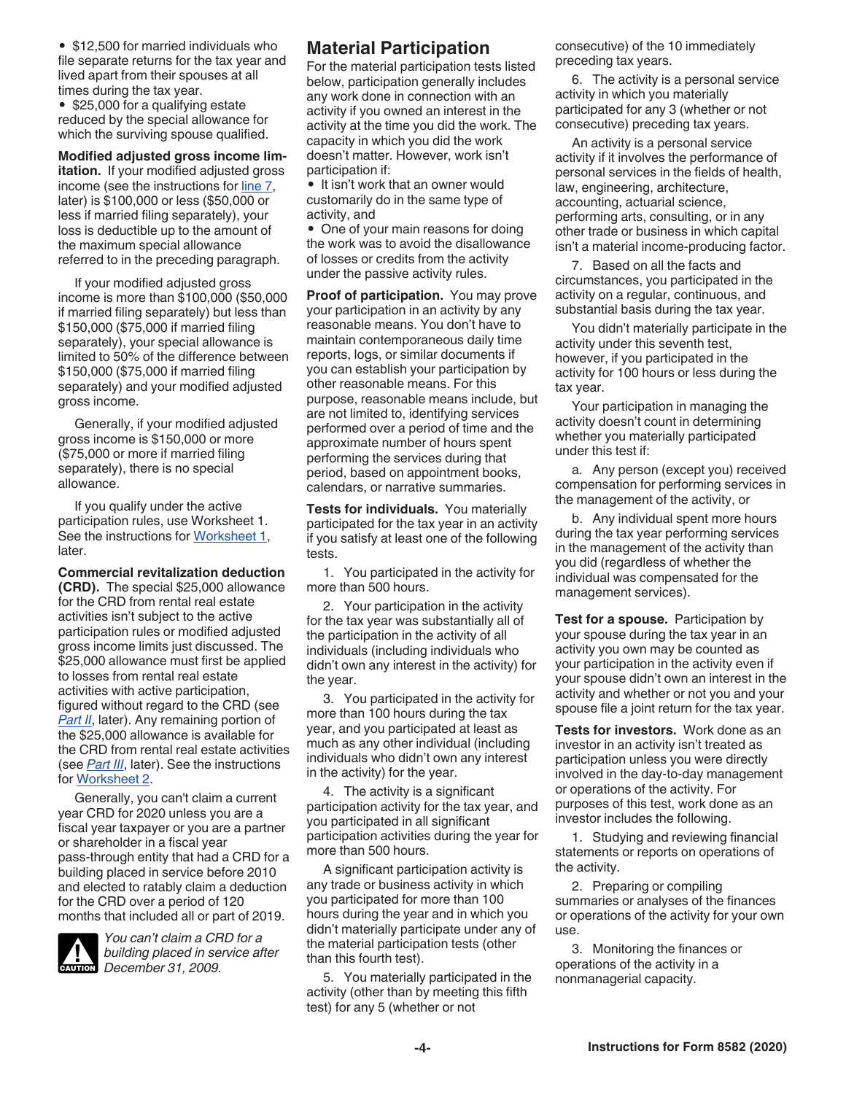<span id="page-3-0"></span>• \$12,500 for married individuals who file separate returns for the tax year and lived apart from their spouses at all times during the tax year.

• \$25,000 for a qualifying estate reduced by the special allowance for which the surviving spouse qualified.

**Modified adjusted gross income limitation.** If your modified adjusted gross income (see the instructions for [line 7](#page-8-0), later) is \$100,000 or less (\$50,000 or less if married filing separately), your loss is deductible up to the amount of the maximum special allowance referred to in the preceding paragraph.

If your modified adjusted gross income is more than \$100,000 (\$50,000 if married filing separately) but less than \$150,000 (\$75,000 if married filing separately), your special allowance is limited to 50% of the difference between \$150,000 (\$75,000 if married filing separately) and your modified adjusted gross income.

Generally, if your modified adjusted gross income is \$150,000 or more (\$75,000 or more if married filing separately), there is no special allowance.

If you qualify under the active participation rules, use Worksheet 1. See the instructions for [Worksheet 1](#page-7-0), later.

**Commercial revitalization deduction (CRD).** The special \$25,000 allowance for the CRD from rental real estate activities isn't subject to the active participation rules or modified adjusted gross income limits just discussed. The \$25,000 allowance must first be applied to losses from rental real estate activities with active participation, figured without regard to the CRD (see **[Part II](#page-8-0)**, later). Any remaining portion of the \$25,000 allowance is available for the CRD from rental real estate activities (see *[Part III](#page-9-0)*, later). See the instructions for [Worksheet 2](#page-8-0).

Generally, you can't claim a current year CRD for 2020 unless you are a fiscal year taxpayer or you are a partner or shareholder in a fiscal year pass-through entity that had a CRD for a building placed in service before 2010 and elected to ratably claim a deduction for the CRD over a period of 120 months that included all or part of 2019.



*You can't claim a CRD for a building placed in service after*  **CAUTION**<br> *December 31, 2009.* 

# **Material Participation**

For the material participation tests listed below, participation generally includes any work done in connection with an activity if you owned an interest in the activity at the time you did the work. The capacity in which you did the work doesn't matter. However, work isn't participation if:

• It isn't work that an owner would customarily do in the same type of activity, and

• One of your main reasons for doing the work was to avoid the disallowance of losses or credits from the activity under the passive activity rules.

**Proof of participation.** You may prove your participation in an activity by any reasonable means. You don't have to maintain contemporaneous daily time reports, logs, or similar documents if you can establish your participation by other reasonable means. For this purpose, reasonable means include, but are not limited to, identifying services performed over a period of time and the approximate number of hours spent performing the services during that period, based on appointment books, calendars, or narrative summaries.

**Tests for individuals.** You materially participated for the tax year in an activity if you satisfy at least one of the following tests.

1. You participated in the activity for more than 500 hours.

2. Your participation in the activity for the tax year was substantially all of the participation in the activity of all individuals (including individuals who didn't own any interest in the activity) for the year.

3. You participated in the activity for more than 100 hours during the tax year, and you participated at least as much as any other individual (including individuals who didn't own any interest in the activity) for the year.

4. The activity is a significant participation activity for the tax year, and you participated in all significant participation activities during the year for more than 500 hours.

A significant participation activity is any trade or business activity in which you participated for more than 100 hours during the year and in which you didn't materially participate under any of the material participation tests (other than this fourth test).

5. You materially participated in the activity (other than by meeting this fifth test) for any 5 (whether or not

consecutive) of the 10 immediately preceding tax years.

6. The activity is a personal service activity in which you materially participated for any 3 (whether or not consecutive) preceding tax years.

An activity is a personal service activity if it involves the performance of personal services in the fields of health, law, engineering, architecture, accounting, actuarial science, performing arts, consulting, or in any other trade or business in which capital isn't a material income-producing factor.

7. Based on all the facts and circumstances, you participated in the activity on a regular, continuous, and substantial basis during the tax year.

You didn't materially participate in the activity under this seventh test, however, if you participated in the activity for 100 hours or less during the tax year.

Your participation in managing the activity doesn't count in determining whether you materially participated under this test if:

a. Any person (except you) received compensation for performing services in the management of the activity, or

b. Any individual spent more hours during the tax year performing services in the management of the activity than you did (regardless of whether the individual was compensated for the management services).

**Test for a spouse.** Participation by your spouse during the tax year in an activity you own may be counted as your participation in the activity even if your spouse didn't own an interest in the activity and whether or not you and your spouse file a joint return for the tax year.

**Tests for investors.** Work done as an investor in an activity isn't treated as participation unless you were directly involved in the day-to-day management or operations of the activity. For purposes of this test, work done as an investor includes the following.

1. Studying and reviewing financial statements or reports on operations of the activity.

2. Preparing or compiling summaries or analyses of the finances or operations of the activity for your own use.

3. Monitoring the finances or operations of the activity in a nonmanagerial capacity.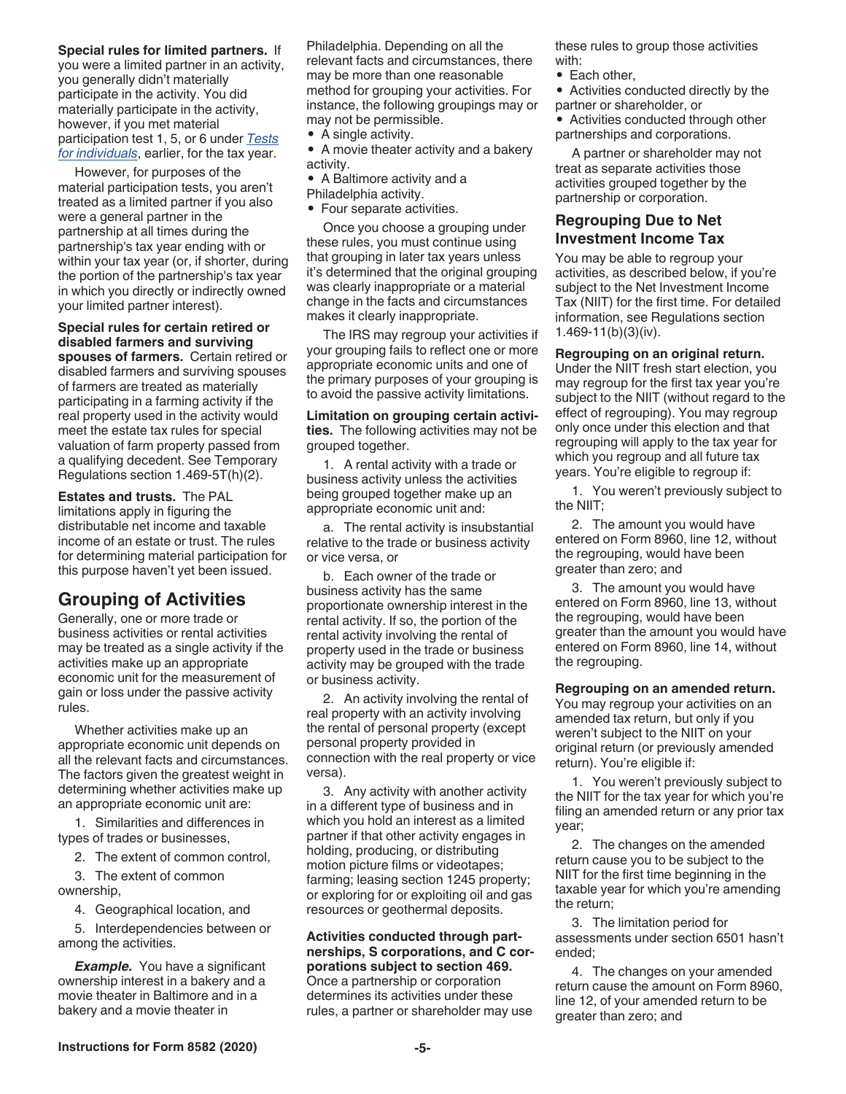#### <span id="page-4-0"></span>**Special rules for limited partners.** If

you were a limited partner in an activity, you generally didn't materially participate in the activity. You did materially participate in the activity, however, if you met material participation test 1, 5, or 6 under *[Tests](#page-3-0)  [for individuals](#page-3-0)*, earlier, for the tax year.

However, for purposes of the material participation tests, you aren't treated as a limited partner if you also were a general partner in the partnership at all times during the partnership's tax year ending with or within your tax year (or, if shorter, during the portion of the partnership's tax year in which you directly or indirectly owned your limited partner interest).

**Special rules for certain retired or disabled farmers and surviving spouses of farmers.** Certain retired or disabled farmers and surviving spouses of farmers are treated as materially participating in a farming activity if the real property used in the activity would meet the estate tax rules for special valuation of farm property passed from a qualifying decedent. See Temporary Regulations section 1.469-5T(h)(2).

**Estates and trusts.** The PAL limitations apply in figuring the distributable net income and taxable income of an estate or trust. The rules for determining material participation for this purpose haven't yet been issued.

# **Grouping of Activities**

Generally, one or more trade or business activities or rental activities may be treated as a single activity if the activities make up an appropriate economic unit for the measurement of gain or loss under the passive activity rules.

Whether activities make up an appropriate economic unit depends on all the relevant facts and circumstances. The factors given the greatest weight in determining whether activities make up an appropriate economic unit are:

1. Similarities and differences in types of trades or businesses,

2. The extent of common control,

3. The extent of common ownership,

4. Geographical location, and

5. Interdependencies between or among the activities.

*Example.* You have a significant ownership interest in a bakery and a movie theater in Baltimore and in a bakery and a movie theater in

Philadelphia. Depending on all the relevant facts and circumstances, there may be more than one reasonable method for grouping your activities. For instance, the following groupings may or may not be permissible.

• A single activity.

• A movie theater activity and a bakery activity.

- A Baltimore activity and a
- Philadelphia activity.
- Four separate activities.

Once you choose a grouping under these rules, you must continue using that grouping in later tax years unless it's determined that the original grouping was clearly inappropriate or a material change in the facts and circumstances makes it clearly inappropriate.

The IRS may regroup your activities if your grouping fails to reflect one or more appropriate economic units and one of the primary purposes of your grouping is to avoid the passive activity limitations.

**Limitation on grouping certain activities.** The following activities may not be grouped together.

1. A rental activity with a trade or business activity unless the activities being grouped together make up an appropriate economic unit and:

a. The rental activity is insubstantial relative to the trade or business activity or vice versa, or

b. Each owner of the trade or business activity has the same proportionate ownership interest in the rental activity. If so, the portion of the rental activity involving the rental of property used in the trade or business activity may be grouped with the trade or business activity.

2. An activity involving the rental of real property with an activity involving the rental of personal property (except personal property provided in connection with the real property or vice versa).

3. Any activity with another activity in a different type of business and in which you hold an interest as a limited partner if that other activity engages in holding, producing, or distributing motion picture films or videotapes; farming; leasing section 1245 property; or exploring for or exploiting oil and gas resources or geothermal deposits.

#### **Activities conducted through partnerships, S corporations, and C corporations subject to section 469.**  Once a partnership or corporation determines its activities under these rules, a partner or shareholder may use

these rules to group those activities with:

- Each other,
- Activities conducted directly by the partner or shareholder, or
- Activities conducted through other partnerships and corporations.

A partner or shareholder may not treat as separate activities those activities grouped together by the partnership or corporation.

## **Regrouping Due to Net Investment Income Tax**

You may be able to regroup your activities, as described below, if you're subject to the Net Investment Income Tax (NIIT) for the first time. For detailed information, see Regulations section 1.469-11(b)(3)(iv).

#### **Regrouping on an original return.**

Under the NIIT fresh start election, you may regroup for the first tax year you're subject to the NIIT (without regard to the effect of regrouping). You may regroup only once under this election and that regrouping will apply to the tax year for which you regroup and all future tax years. You're eligible to regroup if:

1. You weren't previously subject to the NIIT;

2. The amount you would have entered on Form 8960, line 12, without the regrouping, would have been greater than zero; and

3. The amount you would have entered on Form 8960, line 13, without the regrouping, would have been greater than the amount you would have entered on Form 8960, line 14, without the regrouping.

#### **Regrouping on an amended return.**

You may regroup your activities on an amended tax return, but only if you weren't subject to the NIIT on your original return (or previously amended return). You're eligible if:

1. You weren't previously subject to the NIIT for the tax year for which you're filing an amended return or any prior tax year;

2. The changes on the amended return cause you to be subject to the NIIT for the first time beginning in the taxable year for which you're amending the return;

3. The limitation period for assessments under section 6501 hasn't ended;

4. The changes on your amended return cause the amount on Form 8960, line 12, of your amended return to be greater than zero; and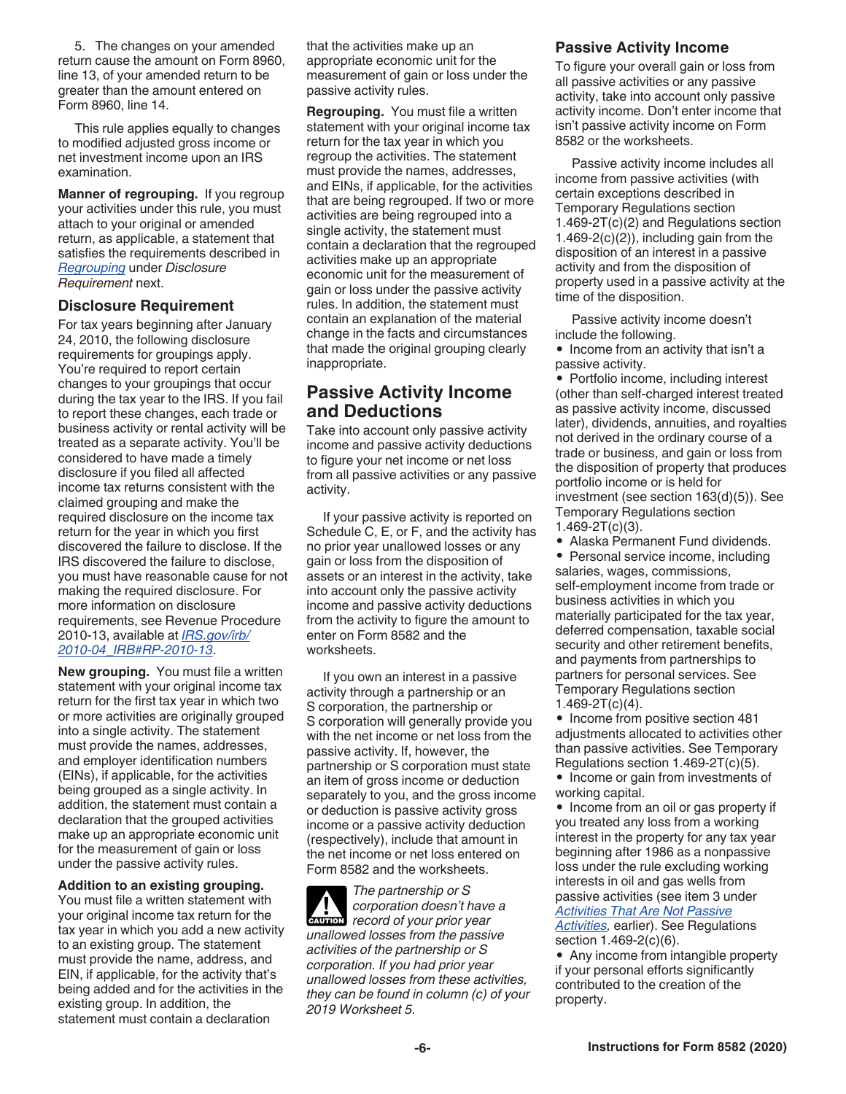<span id="page-5-0"></span>5. The changes on your amended return cause the amount on Form 8960, line 13, of your amended return to be greater than the amount entered on Form 8960, line 14.

This rule applies equally to changes to modified adjusted gross income or net investment income upon an IRS examination.

**Manner of regrouping.** If you regroup your activities under this rule, you must attach to your original or amended return, as applicable, a statement that satisfies the requirements described in *Regrouping* under *Disclosure Requirement* next.

#### **Disclosure Requirement**

For tax years beginning after January 24, 2010, the following disclosure requirements for groupings apply. You're required to report certain changes to your groupings that occur during the tax year to the IRS. If you fail to report these changes, each trade or business activity or rental activity will be treated as a separate activity. You'll be considered to have made a timely disclosure if you filed all affected income tax returns consistent with the claimed grouping and make the required disclosure on the income tax return for the year in which you first discovered the failure to disclose. If the IRS discovered the failure to disclose, you must have reasonable cause for not making the required disclosure. For more information on disclosure requirements, see Revenue Procedure 2010-13, available at *[IRS.gov/irb/](https://www.irs.gov/irb/2010-04_IRB#RP-2010-13 ) [2010-04\\_IRB#RP-2010-13](https://www.irs.gov/irb/2010-04_IRB#RP-2010-13 )*.

**New grouping.** You must file a written statement with your original income tax return for the first tax year in which two or more activities are originally grouped into a single activity. The statement must provide the names, addresses, and employer identification numbers (EINs), if applicable, for the activities being grouped as a single activity. In addition, the statement must contain a declaration that the grouped activities make up an appropriate economic unit for the measurement of gain or loss under the passive activity rules.

**Addition to an existing grouping.**  You must file a written statement with your original income tax return for the tax year in which you add a new activity to an existing group. The statement must provide the name, address, and EIN, if applicable, for the activity that's being added and for the activities in the existing group. In addition, the statement must contain a declaration

that the activities make up an appropriate economic unit for the measurement of gain or loss under the passive activity rules.

**Regrouping.** You must file a written statement with your original income tax return for the tax year in which you regroup the activities. The statement must provide the names, addresses, and EINs, if applicable, for the activities that are being regrouped. If two or more activities are being regrouped into a single activity, the statement must contain a declaration that the regrouped activities make up an appropriate economic unit for the measurement of gain or loss under the passive activity rules. In addition, the statement must contain an explanation of the material change in the facts and circumstances that made the original grouping clearly inappropriate.

# **Passive Activity Income and Deductions**

Take into account only passive activity income and passive activity deductions to figure your net income or net loss from all passive activities or any passive activity.

If your passive activity is reported on Schedule C, E, or F, and the activity has no prior year unallowed losses or any gain or loss from the disposition of assets or an interest in the activity, take into account only the passive activity income and passive activity deductions from the activity to figure the amount to enter on Form 8582 and the worksheets.

If you own an interest in a passive activity through a partnership or an S corporation, the partnership or S corporation will generally provide you with the net income or net loss from the passive activity. If, however, the partnership or S corporation must state an item of gross income or deduction separately to you, and the gross income or deduction is passive activity gross income or a passive activity deduction (respectively), include that amount in the net income or net loss entered on Form 8582 and the worksheets.

*The partnership or S corporation doesn't have a*  **COMPORATION**<br> **CAUTION**<br> **CAUTION**<br> **CAUTION** *unallowed losses from the passive activities of the partnership or S corporation. If you had prior year unallowed losses from these activities, they can be found in column (c) of your 2019 Worksheet 5.*

#### **Passive Activity Income**

To figure your overall gain or loss from all passive activities or any passive activity, take into account only passive activity income. Don't enter income that isn't passive activity income on Form 8582 or the worksheets.

Passive activity income includes all income from passive activities (with certain exceptions described in Temporary Regulations section 1.469-2T(c)(2) and Regulations section 1.469-2(c)(2)), including gain from the disposition of an interest in a passive activity and from the disposition of property used in a passive activity at the time of the disposition.

Passive activity income doesn't include the following.

• Income from an activity that isn't a passive activity.

• Portfolio income, including interest (other than self-charged interest treated as passive activity income, discussed later), dividends, annuities, and royalties not derived in the ordinary course of a trade or business, and gain or loss from the disposition of property that produces portfolio income or is held for investment (see section 163(d)(5)). See Temporary Regulations section  $1.469 - 2T(c)(3)$ .

• Alaska Permanent Fund dividends.

• Personal service income, including salaries, wages, commissions, self-employment income from trade or business activities in which you materially participated for the tax year, deferred compensation, taxable social security and other retirement benefits, and payments from partnerships to partners for personal services. See Temporary Regulations section 1.469-2T(c)(4).

• Income from positive section 481 adjustments allocated to activities other than passive activities. See Temporary Regulations section 1.469-2T(c)(5).

• Income or gain from investments of working capital.

• Income from an oil or gas property if you treated any loss from a working interest in the property for any tax year beginning after 1986 as a nonpassive loss under the rule excluding working interests in oil and gas wells from passive activities (see item 3 under *[Activities That Are Not Passive](#page-1-0)* 

*[Activities](#page-1-0),* earlier). See Regulations section 1.469-2(c)(6).

• Any income from intangible property if your personal efforts significantly contributed to the creation of the property.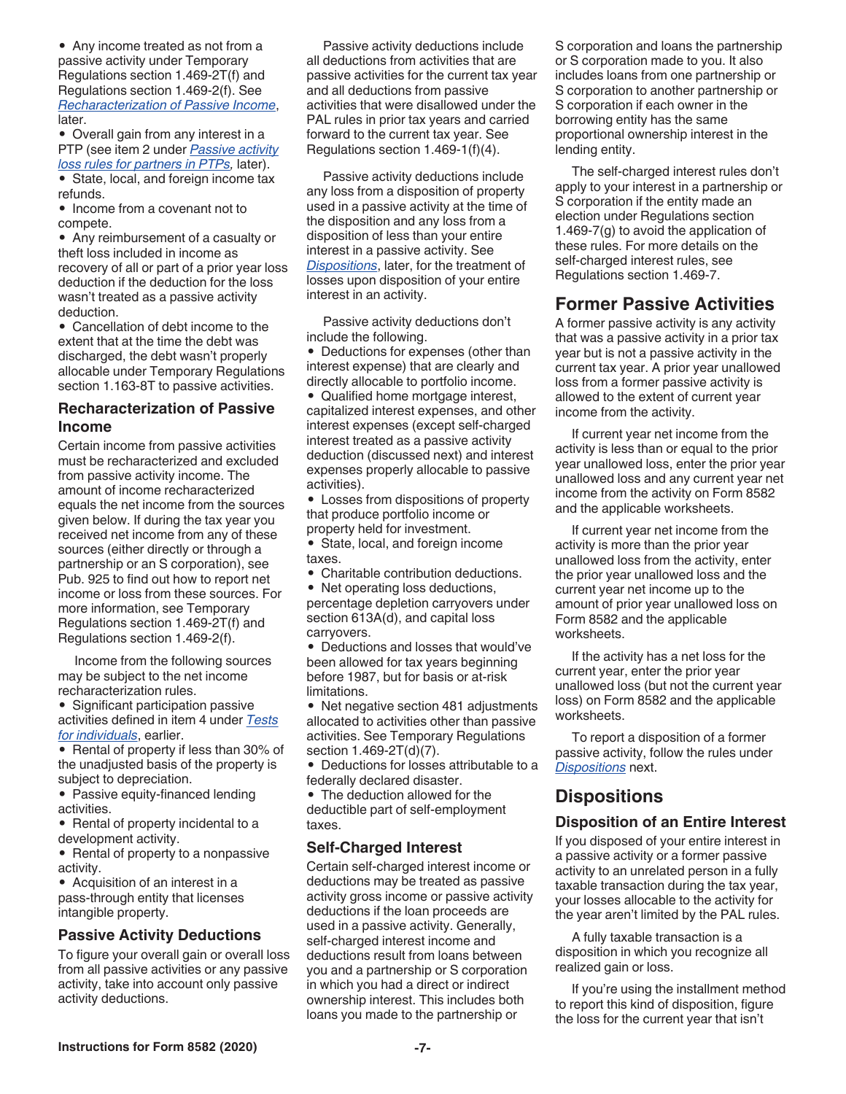<span id="page-6-0"></span>• Any income treated as not from a passive activity under Temporary Regulations section 1.469-2T(f) and Regulations section 1.469-2(f). See *Recharacterization of Passive Income*, later.

• Overall gain from any interest in a PTP (see item 2 under *[Passive activity](#page-12-0)  [loss rules for partners in PTPs,](#page-12-0)* later).

• State, local, and foreign income tax refunds.

• Income from a covenant not to compete.

• Any reimbursement of a casualty or theft loss included in income as recovery of all or part of a prior year loss deduction if the deduction for the loss wasn't treated as a passive activity deduction.

• Cancellation of debt income to the extent that at the time the debt was discharged, the debt wasn't properly allocable under Temporary Regulations section 1.163-8T to passive activities.

## **Recharacterization of Passive Income**

Certain income from passive activities must be recharacterized and excluded from passive activity income. The amount of income recharacterized equals the net income from the sources given below. If during the tax year you received net income from any of these sources (either directly or through a partnership or an S corporation), see Pub. 925 to find out how to report net income or loss from these sources. For more information, see Temporary Regulations section 1.469-2T(f) and Regulations section 1.469-2(f).

Income from the following sources may be subject to the net income recharacterization rules.

• Significant participation passive activities defined in item 4 under *[Tests](#page-3-0) [for individuals](#page-3-0)*, earlier.

• Rental of property if less than 30% of the unadjusted basis of the property is subject to depreciation.

• Passive equity-financed lending activities.

• Rental of property incidental to a development activity.

• Rental of property to a nonpassive activity.

• Acquisition of an interest in a pass-through entity that licenses intangible property.

## **Passive Activity Deductions**

To figure your overall gain or overall loss from all passive activities or any passive activity, take into account only passive activity deductions.

Passive activity deductions include all deductions from activities that are passive activities for the current tax year and all deductions from passive activities that were disallowed under the PAL rules in prior tax years and carried forward to the current tax year. See Regulations section 1.469-1(f)(4).

Passive activity deductions include any loss from a disposition of property used in a passive activity at the time of the disposition and any loss from a disposition of less than your entire interest in a passive activity. See *Dispositions*, later, for the treatment of losses upon disposition of your entire interest in an activity.

Passive activity deductions don't include the following.

• Deductions for expenses (other than interest expense) that are clearly and directly allocable to portfolio income.

• Qualified home mortgage interest, capitalized interest expenses, and other interest expenses (except self-charged interest treated as a passive activity deduction (discussed next) and interest expenses properly allocable to passive activities).

• Losses from dispositions of property that produce portfolio income or property held for investment.

• State, local, and foreign income taxes.

• Charitable contribution deductions.

• Net operating loss deductions, percentage depletion carryovers under section 613A(d), and capital loss carryovers.

• Deductions and losses that would've been allowed for tax years beginning before 1987, but for basis or at-risk limitations.

• Net negative section 481 adjustments allocated to activities other than passive activities. See Temporary Regulations section 1.469-2T(d)(7).

• Deductions for losses attributable to a federally declared disaster.

• The deduction allowed for the deductible part of self-employment taxes.

## **Self-Charged Interest**

Certain self-charged interest income or deductions may be treated as passive activity gross income or passive activity deductions if the loan proceeds are used in a passive activity. Generally, self-charged interest income and deductions result from loans between you and a partnership or S corporation in which you had a direct or indirect ownership interest. This includes both loans you made to the partnership or

S corporation and loans the partnership or S corporation made to you. It also includes loans from one partnership or S corporation to another partnership or S corporation if each owner in the borrowing entity has the same proportional ownership interest in the lending entity.

The self-charged interest rules don't apply to your interest in a partnership or S corporation if the entity made an election under Regulations section 1.469-7(g) to avoid the application of these rules. For more details on the self-charged interest rules, see Regulations section 1.469-7.

# **Former Passive Activities**

A former passive activity is any activity that was a passive activity in a prior tax year but is not a passive activity in the current tax year. A prior year unallowed loss from a former passive activity is allowed to the extent of current year income from the activity.

If current year net income from the activity is less than or equal to the prior year unallowed loss, enter the prior year unallowed loss and any current year net income from the activity on Form 8582 and the applicable worksheets.

If current year net income from the activity is more than the prior year unallowed loss from the activity, enter the prior year unallowed loss and the current year net income up to the amount of prior year unallowed loss on Form 8582 and the applicable worksheets.

If the activity has a net loss for the current year, enter the prior year unallowed loss (but not the current year loss) on Form 8582 and the applicable worksheets.

To report a disposition of a former passive activity, follow the rules under *Dispositions* next.

# **Dispositions**

## **Disposition of an Entire Interest**

If you disposed of your entire interest in a passive activity or a former passive activity to an unrelated person in a fully taxable transaction during the tax year, your losses allocable to the activity for the year aren't limited by the PAL rules.

A fully taxable transaction is a disposition in which you recognize all realized gain or loss.

If you're using the installment method to report this kind of disposition, figure the loss for the current year that isn't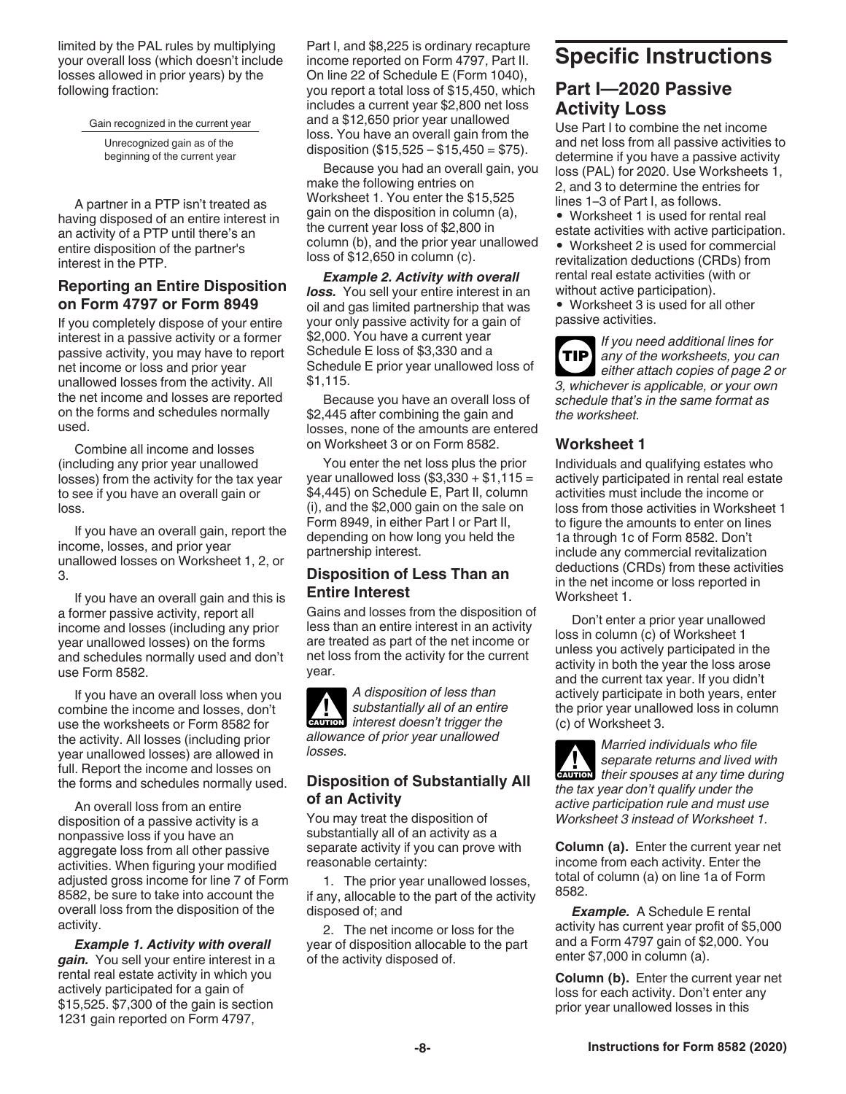<span id="page-7-0"></span>limited by the PAL rules by multiplying your overall loss (which doesn't include losses allowed in prior years) by the following fraction:

Gain recognized in the current year

Unrecognized gain as of the beginning of the current year

A partner in a PTP isn't treated as having disposed of an entire interest in an activity of a PTP until there's an entire disposition of the partner's interest in the PTP.

## **Reporting an Entire Disposition on Form 4797 or Form 8949**

If you completely dispose of your entire interest in a passive activity or a former passive activity, you may have to report net income or loss and prior year unallowed losses from the activity. All the net income and losses are reported on the forms and schedules normally used.

Combine all income and losses (including any prior year unallowed losses) from the activity for the tax year to see if you have an overall gain or loss.

If you have an overall gain, report the income, losses, and prior year unallowed losses on Worksheet 1, 2, or 3.

If you have an overall gain and this is a former passive activity, report all income and losses (including any prior year unallowed losses) on the forms and schedules normally used and don't use Form 8582.

If you have an overall loss when you combine the income and losses, don't use the worksheets or Form 8582 for the activity. All losses (including prior year unallowed losses) are allowed in full. Report the income and losses on the forms and schedules normally used.

An overall loss from an entire disposition of a passive activity is a nonpassive loss if you have an aggregate loss from all other passive activities. When figuring your modified adjusted gross income for line 7 of Form 8582, be sure to take into account the overall loss from the disposition of the activity.

*Example 1. Activity with overall gain.* You sell your entire interest in a rental real estate activity in which you actively participated for a gain of \$15,525. \$7,300 of the gain is section 1231 gain reported on Form 4797,

Part I, and \$8,225 is ordinary recapture income reported on Form 4797, Part II. On line 22 of Schedule E (Form 1040), you report a total loss of \$15,450, which includes a current year \$2,800 net loss and a \$12,650 prior year unallowed loss. You have an overall gain from the disposition  $(\$15,525 - \$15,450 = \$75)$ .

Because you had an overall gain, you make the following entries on Worksheet 1. You enter the \$15,525 gain on the disposition in column (a), the current year loss of \$2,800 in column (b), and the prior year unallowed loss of \$12,650 in column (c).

*Example 2. Activity with overall loss.* You sell your entire interest in an oil and gas limited partnership that was your only passive activity for a gain of \$2,000. You have a current year Schedule E loss of \$3,330 and a Schedule E prior year unallowed loss of \$1,115.

Because you have an overall loss of \$2,445 after combining the gain and losses, none of the amounts are entered on Worksheet 3 or on Form 8582.

You enter the net loss plus the prior year unallowed loss (\$3,330 + \$1,115 = \$4,445) on Schedule E, Part II, column (i), and the \$2,000 gain on the sale on Form 8949, in either Part I or Part II, depending on how long you held the partnership interest.

## **Disposition of Less Than an Entire Interest**

Gains and losses from the disposition of less than an entire interest in an activity are treated as part of the net income or net loss from the activity for the current year.

*A disposition of less than substantially all of an entire*  **k** substantially all of an entire<br> **CAUTION** interest doesn't trigger the *allowance of prior year unallowed losses.*

## **Disposition of Substantially All of an Activity**

You may treat the disposition of substantially all of an activity as a separate activity if you can prove with reasonable certainty:

1. The prior year unallowed losses, if any, allocable to the part of the activity disposed of; and

2. The net income or loss for the year of disposition allocable to the part of the activity disposed of.

# **Specific Instructions**

# **Part I—2020 Passive Activity Loss**

Use Part I to combine the net income and net loss from all passive activities to determine if you have a passive activity loss (PAL) for 2020. Use Worksheets 1, 2, and 3 to determine the entries for lines 1–3 of Part I, as follows.

• Worksheet 1 is used for rental real estate activities with active participation.

• Worksheet 2 is used for commercial revitalization deductions (CRDs) from rental real estate activities (with or without active participation).

• Worksheet 3 is used for all other passive activities.

*If you need additional lines for any of the worksheets, you can either attach copies of page 2 or 3, whichever is applicable, or your own schedule that's in the same format as the worksheet.* **TIP**

## **Worksheet 1**

Individuals and qualifying estates who actively participated in rental real estate activities must include the income or loss from those activities in Worksheet 1 to figure the amounts to enter on lines 1a through 1c of Form 8582. Don't include any commercial revitalization deductions (CRDs) from these activities in the net income or loss reported in Worksheet 1.

Don't enter a prior year unallowed loss in column (c) of Worksheet 1 unless you actively participated in the activity in both the year the loss arose and the current tax year. If you didn't actively participate in both years, enter the prior year unallowed loss in column (c) of Worksheet 3.

*Married individuals who file separate returns and lived with*  **z** separate returns and lived with their spouses at any time during *the tax year don't qualify under the active participation rule and must use Worksheet 3 instead of Worksheet 1.*

**Column (a).** Enter the current year net income from each activity. Enter the total of column (a) on line 1a of Form 8582.

*Example.* A Schedule E rental activity has current year profit of \$5,000 and a Form 4797 gain of \$2,000. You enter \$7,000 in column (a).

**Column (b).** Enter the current year net loss for each activity. Don't enter any prior year unallowed losses in this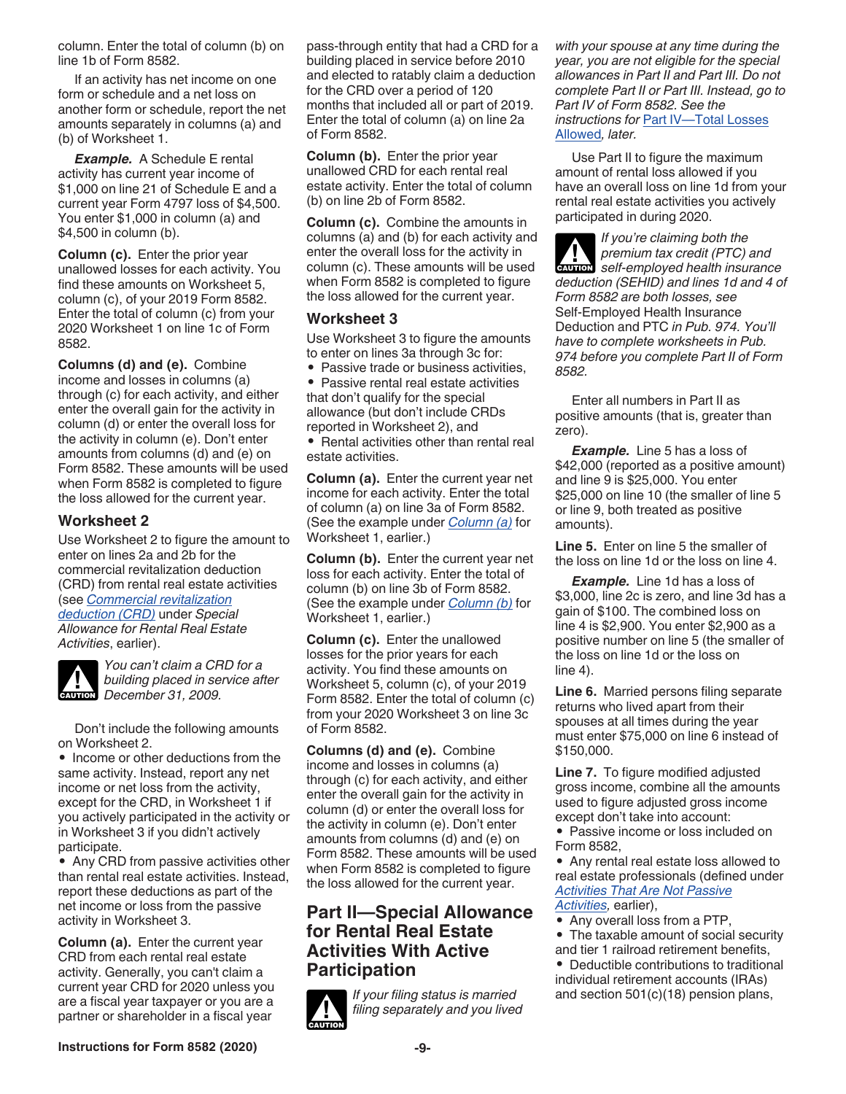<span id="page-8-0"></span>column. Enter the total of column (b) on line 1b of Form 8582.

If an activity has net income on one form or schedule and a net loss on another form or schedule, report the net amounts separately in columns (a) and (b) of Worksheet 1.

*Example.* A Schedule E rental activity has current year income of \$1,000 on line 21 of Schedule E and a current year Form 4797 loss of \$4,500. You enter \$1,000 in column (a) and \$4,500 in column (b).

**Column (c).** Enter the prior year unallowed losses for each activity. You find these amounts on Worksheet 5, column (c), of your 2019 Form 8582. Enter the total of column (c) from your 2020 Worksheet 1 on line 1c of Form 8582.

**Columns (d) and (e).** Combine income and losses in columns (a) through (c) for each activity, and either enter the overall gain for the activity in column (d) or enter the overall loss for the activity in column (e). Don't enter amounts from columns (d) and (e) on Form 8582. These amounts will be used when Form 8582 is completed to figure the loss allowed for the current year.

## **Worksheet 2**

Use Worksheet 2 to figure the amount to enter on lines 2a and 2b for the commercial revitalization deduction (CRD) from rental real estate activities (see *[Commercial revitalization](#page-3-0)  [deduction \(CRD\)](#page-3-0)* under *Special Allowance for Rental Real Estate Activities*, earlier).



*You can't claim a CRD for a building placed in service after*  **building placed in se**<br> **December 31, 2009.** 

Don't include the following amounts on Worksheet 2.

• Income or other deductions from the same activity. Instead, report any net income or net loss from the activity, except for the CRD, in Worksheet 1 if you actively participated in the activity or in Worksheet 3 if you didn't actively participate.

• Any CRD from passive activities other than rental real estate activities. Instead, report these deductions as part of the net income or loss from the passive activity in Worksheet 3.

**Column (a).** Enter the current year CRD from each rental real estate activity. Generally, you can't claim a current year CRD for 2020 unless you are a fiscal year taxpayer or you are a partner or shareholder in a fiscal year

pass-through entity that had a CRD for a building placed in service before 2010 and elected to ratably claim a deduction for the CRD over a period of 120 months that included all or part of 2019. Enter the total of column (a) on line 2a of Form 8582.

**Column (b).** Enter the prior year unallowed CRD for each rental real estate activity. Enter the total of column (b) on line 2b of Form 8582.

**Column (c).** Combine the amounts in columns (a) and (b) for each activity and enter the overall loss for the activity in column (c). These amounts will be used when Form 8582 is completed to figure the loss allowed for the current year.

#### **Worksheet 3**

Use Worksheet 3 to figure the amounts to enter on lines 3a through 3c for:

• Passive trade or business activities,

• Passive rental real estate activities that don't qualify for the special allowance (but don't include CRDs reported in Worksheet 2), and

• Rental activities other than rental real estate activities.

**Column (a).** Enter the current year net income for each activity. Enter the total of column (a) on line 3a of Form 8582. (See the example under *[Column \(a\)](#page-7-0)* for Worksheet 1, earlier.)

**Column (b).** Enter the current year net loss for each activity. Enter the total of column (b) on line 3b of Form 8582. (See the example under *[Column \(b\)](#page-7-0)* for Worksheet 1, earlier.)

**Column (c).** Enter the unallowed losses for the prior years for each activity. You find these amounts on Worksheet 5, column (c), of your 2019 Form 8582. Enter the total of column (c) from your 2020 Worksheet 3 on line 3c of Form 8582.

**Columns (d) and (e).** Combine income and losses in columns (a) through (c) for each activity, and either enter the overall gain for the activity in column (d) or enter the overall loss for the activity in column (e). Don't enter amounts from columns (d) and (e) on Form 8582. These amounts will be used when Form 8582 is completed to figure the loss allowed for the current year.

## **Part II—Special Allowance for Rental Real Estate Activities With Active Participation**

*If your filing status is married filing separately and you lived*  **CAUTION !**

*with your spouse at any time during the year, you are not eligible for the special allowances in Part II and Part III. Do not complete Part II or Part III. Instead, go to Part IV of Form 8582. See the instructions for* [Part IV—Total Losses](#page-9-0)  [Allowed](#page-9-0)*, later.*

Use Part II to figure the maximum amount of rental loss allowed if you have an overall loss on line 1d from your rental real estate activities you actively participated in during 2020.

*If you're claiming both the premium tax credit (PTC) and*  **z** premium tax credit (PTC) and<br>self-employed health insurance *deduction (SEHID) and lines 1d and 4 of Form 8582 are both losses, see*  Self-Employed Health Insurance Deduction and PTC *in Pub. 974. You'll have to complete worksheets in Pub. 974 before you complete Part II of Form 8582.*

Enter all numbers in Part II as positive amounts (that is, greater than zero).

*Example.* Line 5 has a loss of \$42,000 (reported as a positive amount) and line 9 is \$25,000. You enter \$25,000 on line 10 (the smaller of line 5 or line 9, both treated as positive amounts).

**Line 5.** Enter on line 5 the smaller of the loss on line 1d or the loss on line 4.

*Example.* Line 1d has a loss of \$3,000, line 2c is zero, and line 3d has a gain of \$100. The combined loss on line 4 is \$2,900. You enter \$2,900 as a positive number on line 5 (the smaller of the loss on line 1d or the loss on line 4).

**Line 6.** Married persons filing separate returns who lived apart from their spouses at all times during the year must enter \$75,000 on line 6 instead of \$150,000.

**Line 7.** To figure modified adjusted gross income, combine all the amounts used to figure adjusted gross income except don't take into account:

• Passive income or loss included on Form 8582,

• Any rental real estate loss allowed to real estate professionals (defined under *[Activities That Are Not Passive](#page-1-0) [Activities](#page-1-0),* earlier),

- Any overall loss from a PTP,
- The taxable amount of social security and tier 1 railroad retirement benefits,

• Deductible contributions to traditional individual retirement accounts (IRAs) and section 501(c)(18) pension plans,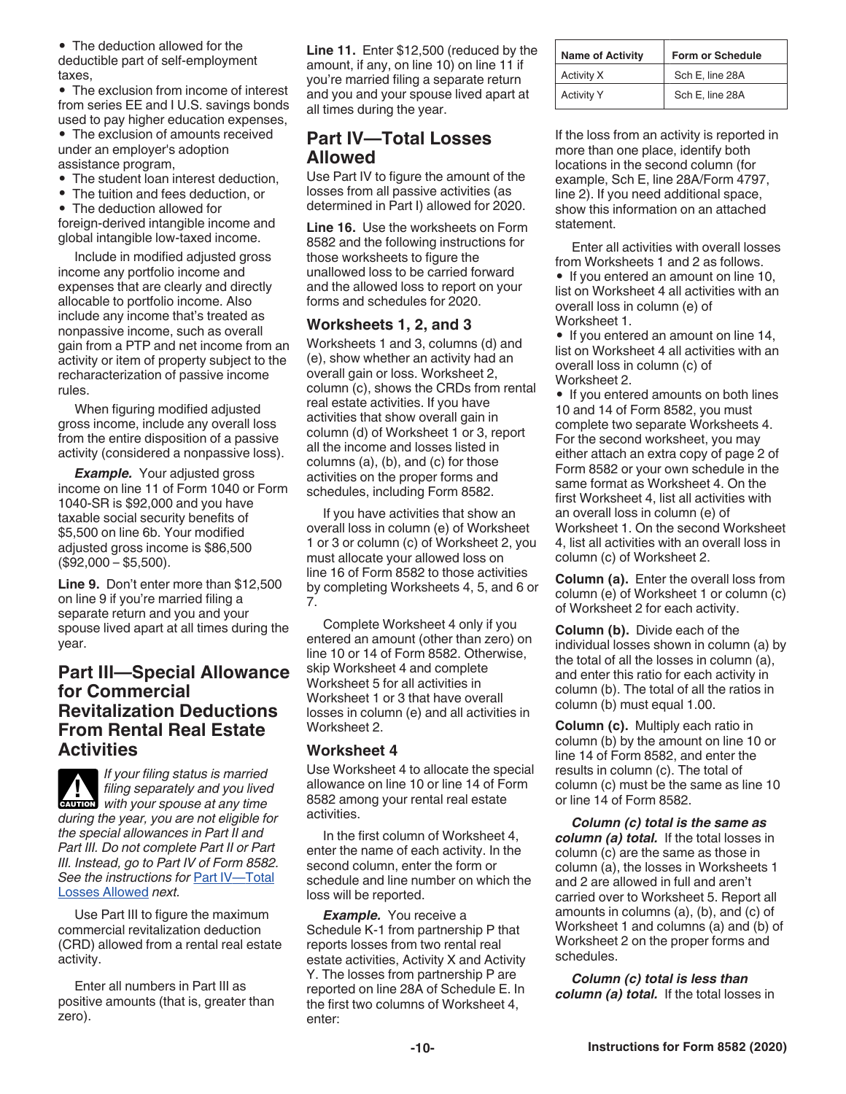<span id="page-9-0"></span>• The deduction allowed for the deductible part of self-employment taxes,

• The exclusion from income of interest from series EE and I U.S. savings bonds used to pay higher education expenses,

• The exclusion of amounts received under an employer's adoption assistance program,

• The student loan interest deduction.

• The tuition and fees deduction, or

• The deduction allowed for foreign-derived intangible income and global intangible low-taxed income.

Include in modified adjusted gross income any portfolio income and expenses that are clearly and directly allocable to portfolio income. Also include any income that's treated as nonpassive income, such as overall gain from a PTP and net income from an activity or item of property subject to the recharacterization of passive income rules.

When figuring modified adjusted gross income, include any overall loss from the entire disposition of a passive activity (considered a nonpassive loss).

*Example.* Your adjusted gross income on line 11 of Form 1040 or Form 1040-SR is \$92,000 and you have taxable social security benefits of \$5,500 on line 6b. Your modified adjusted gross income is \$86,500  $($92,000 - $5,500).$ 

**Line 9.** Don't enter more than \$12,500 on line 9 if you're married filing a separate return and you and your spouse lived apart at all times during the year.

# **Part III—Special Allowance for Commercial Revitalization Deductions From Rental Real Estate Activities**

*If your filing status is married filing separately and you lived CAUTION* filing separately and you lived<br>
with your spouse at any time *during the year, you are not eligible for the special allowances in Part II and Part III. Do not complete Part II or Part III. Instead, go to Part IV of Form 8582. See the instructions for* Part IV—Total Losses Allowed *next.*

Use Part III to figure the maximum commercial revitalization deduction (CRD) allowed from a rental real estate activity.

Enter all numbers in Part III as positive amounts (that is, greater than zero).

**Line 11.** Enter \$12,500 (reduced by the amount, if any, on line 10) on line 11 if you're married filing a separate return and you and your spouse lived apart at all times during the year.

# **Part IV—Total Losses Allowed**

Use Part IV to figure the amount of the losses from all passive activities (as determined in Part I) allowed for 2020.

**Line 16.** Use the worksheets on Form 8582 and the following instructions for those worksheets to figure the unallowed loss to be carried forward and the allowed loss to report on your forms and schedules for 2020.

## **Worksheets 1, 2, and 3**

Worksheets 1 and 3, columns (d) and (e), show whether an activity had an overall gain or loss. Worksheet 2, column (c), shows the CRDs from rental real estate activities. If you have activities that show overall gain in column (d) of Worksheet 1 or 3, report all the income and losses listed in columns (a), (b), and (c) for those activities on the proper forms and schedules, including Form 8582.

If you have activities that show an overall loss in column (e) of Worksheet 1 or 3 or column (c) of Worksheet 2, you must allocate your allowed loss on line 16 of Form 8582 to those activities by completing Worksheets 4, 5, and 6 or 7.

Complete Worksheet 4 only if you entered an amount (other than zero) on line 10 or 14 of Form 8582. Otherwise, skip Worksheet 4 and complete Worksheet 5 for all activities in Worksheet 1 or 3 that have overall losses in column (e) and all activities in Worksheet 2.

## **Worksheet 4**

Use Worksheet 4 to allocate the special allowance on line 10 or line 14 of Form 8582 among your rental real estate activities.

In the first column of Worksheet 4, enter the name of each activity. In the second column, enter the form or schedule and line number on which the loss will be reported.

**Example.** You receive a Schedule K-1 from partnership P that reports losses from two rental real estate activities, Activity X and Activity Y. The losses from partnership P are reported on line 28A of Schedule E. In the first two columns of Worksheet 4, enter:

| <b>Name of Activity</b> | <b>Form or Schedule</b> |  |
|-------------------------|-------------------------|--|
| Activity X              | Sch E, line 28A         |  |
| <b>Activity Y</b>       | Sch E, line 28A         |  |

If the loss from an activity is reported in more than one place, identify both locations in the second column (for example, Sch E, line 28A/Form 4797, line 2). If you need additional space, show this information on an attached statement.

Enter all activities with overall losses from Worksheets 1 and 2 as follows.

• If you entered an amount on line 10, list on Worksheet 4 all activities with an overall loss in column (e) of Worksheet 1.

• If you entered an amount on line 14, list on Worksheet 4 all activities with an overall loss in column (c) of Worksheet 2.

• If you entered amounts on both lines 10 and 14 of Form 8582, you must complete two separate Worksheets 4. For the second worksheet, you may either attach an extra copy of page 2 of Form 8582 or your own schedule in the same format as Worksheet 4. On the first Worksheet 4, list all activities with an overall loss in column (e) of Worksheet 1. On the second Worksheet 4, list all activities with an overall loss in column (c) of Worksheet 2.

**Column (a).** Enter the overall loss from column (e) of Worksheet 1 or column (c) of Worksheet 2 for each activity.

**Column (b).** Divide each of the individual losses shown in column (a) by the total of all the losses in column (a), and enter this ratio for each activity in column (b). The total of all the ratios in column (b) must equal 1.00.

**Column (c).** Multiply each ratio in column (b) by the amount on line 10 or line 14 of Form 8582, and enter the results in column (c). The total of column (c) must be the same as line 10 or line 14 of Form 8582.

*Column (c) total is the same as column (a) total.* If the total losses in column (c) are the same as those in column (a), the losses in Worksheets 1 and 2 are allowed in full and aren't carried over to Worksheet 5. Report all amounts in columns (a), (b), and (c) of Worksheet 1 and columns (a) and (b) of Worksheet 2 on the proper forms and schedules.

*Column (c) total is less than column (a) total.* If the total losses in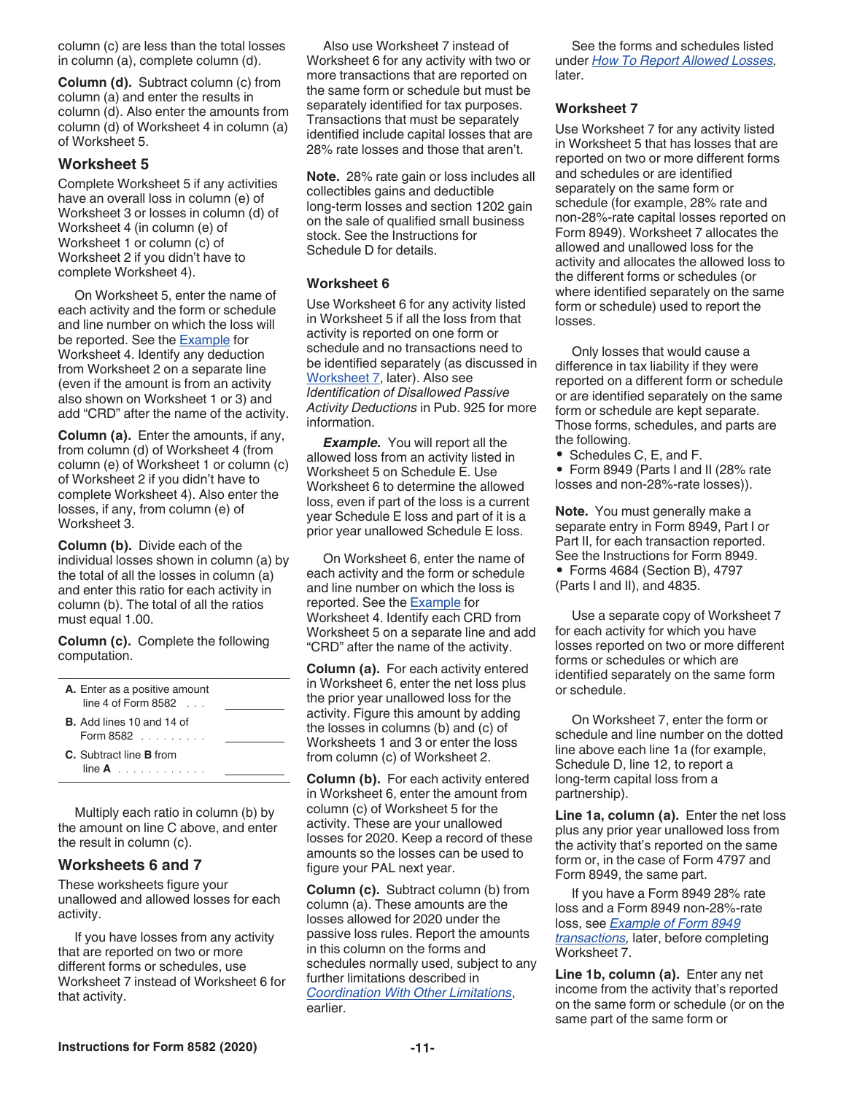column (c) are less than the total losses in column (a), complete column (d).

**Column (d).** Subtract column (c) from column (a) and enter the results in column (d). Also enter the amounts from column (d) of Worksheet 4 in column (a) of Worksheet 5.

## **Worksheet 5**

Complete Worksheet 5 if any activities have an overall loss in column (e) of Worksheet 3 or losses in column (d) of Worksheet 4 (in column (e) of Worksheet 1 or column (c) of Worksheet 2 if you didn't have to complete Worksheet 4).

On Worksheet 5, enter the name of each activity and the form or schedule and line number on which the loss will be reported. See the **Example** for Worksheet 4. Identify any deduction from Worksheet 2 on a separate line (even if the amount is from an activity also shown on Worksheet 1 or 3) and add "CRD" after the name of the activity.

**Column (a).** Enter the amounts, if any, from column (d) of Worksheet 4 (from column (e) of Worksheet 1 or column (c) of Worksheet 2 if you didn't have to complete Worksheet 4). Also enter the losses, if any, from column (e) of Worksheet 3.

**Column (b).** Divide each of the individual losses shown in column (a) by the total of all the losses in column (a) and enter this ratio for each activity in column (b). The total of all the ratios must equal 1.00.

**Column (c).** Complete the following computation.

| A. Enter as a positive amount<br>line 4 of Form 8582          |  |
|---------------------------------------------------------------|--|
| <b>B.</b> Add lines 10 and 14 of<br>Form $8582$               |  |
| C. Subtract line <b>B</b> from<br>$\mathsf{line}\,\mathbf{A}$ |  |

Multiply each ratio in column (b) by the amount on line C above, and enter the result in column (c).

#### **Worksheets 6 and 7**

These worksheets figure your unallowed and allowed losses for each activity.

If you have losses from any activity that are reported on two or more different forms or schedules, use Worksheet 7 instead of Worksheet 6 for that activity.

Also use Worksheet 7 instead of Worksheet 6 for any activity with two or more transactions that are reported on the same form or schedule but must be separately identified for tax purposes. Transactions that must be separately identified include capital losses that are 28% rate losses and those that aren't.

**Note.** 28% rate gain or loss includes all collectibles gains and deductible long-term losses and section 1202 gain on the sale of qualified small business stock. See the Instructions for Schedule D for details.

#### **Worksheet 6**

Use Worksheet 6 for any activity listed in Worksheet 5 if all the loss from that activity is reported on one form or schedule and no transactions need to be identified separately (as discussed in Worksheet 7, later). Also see *Identification of Disallowed Passive Activity Deductions* in Pub. 925 for more information.

*Example.* You will report all the allowed loss from an activity listed in Worksheet 5 on Schedule E. Use Worksheet 6 to determine the allowed loss, even if part of the loss is a current year Schedule E loss and part of it is a prior year unallowed Schedule E loss.

On Worksheet 6, enter the name of each activity and the form or schedule and line number on which the loss is reported. See the **Example** for Worksheet 4. Identify each CRD from Worksheet 5 on a separate line and add "CRD" after the name of the activity.

**Column (a).** For each activity entered in Worksheet 6, enter the net loss plus the prior year unallowed loss for the activity. Figure this amount by adding the losses in columns (b) and (c) of Worksheets 1 and 3 or enter the loss from column (c) of Worksheet 2.

**Column (b).** For each activity entered in Worksheet 6, enter the amount from column (c) of Worksheet 5 for the activity. These are your unallowed losses for 2020. Keep a record of these amounts so the losses can be used to figure your PAL next year.

**Column (c).** Subtract column (b) from column (a). These amounts are the losses allowed for 2020 under the passive loss rules. Report the amounts in this column on the forms and schedules normally used, subject to any further limitations described in *[Coordination With Other Limitations](#page-0-0)*, earlier.

See the forms and schedules listed under *[How To Report Allowed Losses,](#page-11-0)*  later.

#### **Worksheet 7**

Use Worksheet 7 for any activity listed in Worksheet 5 that has losses that are reported on two or more different forms and schedules or are identified separately on the same form or schedule (for example, 28% rate and non-28%-rate capital losses reported on Form 8949). Worksheet 7 allocates the allowed and unallowed loss for the activity and allocates the allowed loss to the different forms or schedules (or where identified separately on the same form or schedule) used to report the losses.

Only losses that would cause a difference in tax liability if they were reported on a different form or schedule or are identified separately on the same form or schedule are kept separate. Those forms, schedules, and parts are the following.

• Schedules C, E, and F.

• Form 8949 (Parts I and II (28% rate losses and non-28%-rate losses)).

**Note.** You must generally make a separate entry in Form 8949, Part I or Part II, for each transaction reported. See the Instructions for Form 8949. • Forms 4684 (Section B), 4797 (Parts I and II), and 4835.

Use a separate copy of Worksheet 7 for each activity for which you have losses reported on two or more different forms or schedules or which are identified separately on the same form or schedule.

On Worksheet 7, enter the form or schedule and line number on the dotted line above each line 1a (for example, Schedule D, line 12, to report a long-term capital loss from a partnership).

**Line 1a, column (a).** Enter the net loss plus any prior year unallowed loss from the activity that's reported on the same form or, in the case of Form 4797 and Form 8949, the same part.

If you have a Form 8949 28% rate loss and a Form 8949 non-28%-rate loss, see *[Example of Form 8949](#page-11-0) [transactions](#page-11-0),* later, before completing Worksheet 7.

**Line 1b, column (a).** Enter any net income from the activity that's reported on the same form or schedule (or on the same part of the same form or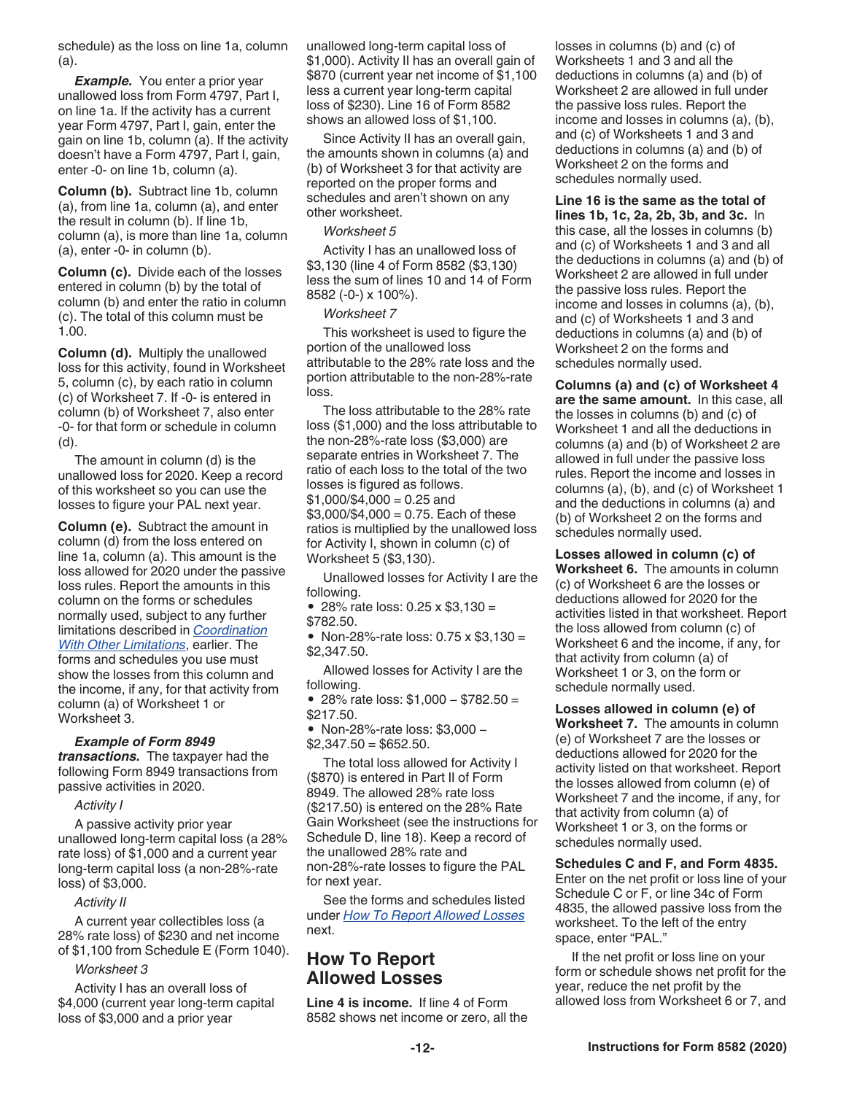<span id="page-11-0"></span>schedule) as the loss on line 1a, column (a).

*Example.* You enter a prior year unallowed loss from Form 4797, Part I, on line 1a. If the activity has a current year Form 4797, Part I, gain, enter the gain on line 1b, column (a). If the activity doesn't have a Form 4797, Part I, gain, enter -0- on line 1b, column (a).

**Column (b).** Subtract line 1b, column (a), from line 1a, column (a), and enter the result in column (b). If line 1b, column (a), is more than line 1a, column (a), enter -0- in column (b).

**Column (c).** Divide each of the losses entered in column (b) by the total of column (b) and enter the ratio in column (c). The total of this column must be 1.00.

**Column (d).** Multiply the unallowed loss for this activity, found in Worksheet 5, column (c), by each ratio in column (c) of Worksheet 7. If -0- is entered in column (b) of Worksheet 7, also enter -0- for that form or schedule in column (d).

The amount in column (d) is the unallowed loss for 2020. Keep a record of this worksheet so you can use the losses to figure your PAL next year.

**Column (e).** Subtract the amount in column (d) from the loss entered on line 1a, column (a). This amount is the loss allowed for 2020 under the passive loss rules. Report the amounts in this column on the forms or schedules normally used, subject to any further limitations described in *[Coordination](#page-0-0)  [With Other Limitations](#page-0-0)*, earlier. The forms and schedules you use must show the losses from this column and the income, if any, for that activity from column (a) of Worksheet 1 or Worksheet 3.

#### *Example of Form 8949*

*transactions.* The taxpayer had the following Form 8949 transactions from passive activities in 2020.

#### *Activity I*

A passive activity prior year unallowed long-term capital loss (a 28% rate loss) of \$1,000 and a current year long-term capital loss (a non-28%-rate loss) of \$3,000.

#### *Activity II*

A current year collectibles loss (a 28% rate loss) of \$230 and net income of \$1,100 from Schedule E (Form 1040).

#### *Worksheet 3*

Activity I has an overall loss of \$4,000 (current year long-term capital loss of \$3,000 and a prior year

unallowed long-term capital loss of \$1,000). Activity II has an overall gain of \$870 (current year net income of \$1,100 less a current year long-term capital loss of \$230). Line 16 of Form 8582 shows an allowed loss of \$1,100.

Since Activity II has an overall gain, the amounts shown in columns (a) and (b) of Worksheet 3 for that activity are reported on the proper forms and schedules and aren't shown on any other worksheet.

#### *Worksheet 5*

Activity I has an unallowed loss of \$3,130 (line 4 of Form 8582 (\$3,130) less the sum of lines 10 and 14 of Form 8582 (-0-) x 100%).

#### *Worksheet 7*

This worksheet is used to figure the portion of the unallowed loss attributable to the 28% rate loss and the portion attributable to the non-28%-rate loss.

The loss attributable to the 28% rate loss (\$1,000) and the loss attributable to the non-28%-rate loss (\$3,000) are separate entries in Worksheet 7. The ratio of each loss to the total of the two losses is figured as follows.  $$1,000/\$4,000 = 0.25$  and  $$3,000$ /\$4,000 = 0.75. Each of these ratios is multiplied by the unallowed loss for Activity I, shown in column (c) of Worksheet 5 (\$3,130).

Unallowed losses for Activity I are the following.

• 28% rate loss: 0.25 x \$3,130 =

\$782.50.

• Non-28%-rate loss: 0.75 x \$3,130 = \$2,347.50.

Allowed losses for Activity I are the following.

• 28% rate loss: \$1,000 − \$782.50 = \$217.50.

• Non-28%-rate loss: \$3,000 −  $$2,347.50 = $652.50.$ 

The total loss allowed for Activity I (\$870) is entered in Part II of Form 8949. The allowed 28% rate loss (\$217.50) is entered on the 28% Rate Gain Worksheet (see the instructions for Schedule D, line 18). Keep a record of the unallowed 28% rate and non-28%-rate losses to figure the PAL for next year.

See the forms and schedules listed under *How To Report Allowed Losses*  next.

# **How To Report Allowed Losses**

**Line 4 is income.** If line 4 of Form 8582 shows net income or zero, all the losses in columns (b) and (c) of Worksheets 1 and 3 and all the deductions in columns (a) and (b) of Worksheet 2 are allowed in full under the passive loss rules. Report the income and losses in columns (a), (b), and (c) of Worksheets 1 and 3 and deductions in columns (a) and (b) of Worksheet 2 on the forms and schedules normally used.

**Line 16 is the same as the total of lines 1b, 1c, 2a, 2b, 3b, and 3c.** In this case, all the losses in columns (b) and (c) of Worksheets 1 and 3 and all the deductions in columns (a) and (b) of Worksheet 2 are allowed in full under the passive loss rules. Report the income and losses in columns (a), (b), and (c) of Worksheets 1 and 3 and deductions in columns (a) and (b) of Worksheet 2 on the forms and schedules normally used.

**Columns (a) and (c) of Worksheet 4 are the same amount.** In this case, all the losses in columns (b) and (c) of Worksheet 1 and all the deductions in columns (a) and (b) of Worksheet 2 are allowed in full under the passive loss rules. Report the income and losses in columns (a), (b), and (c) of Worksheet 1 and the deductions in columns (a) and (b) of Worksheet 2 on the forms and schedules normally used.

**Losses allowed in column (c) of Worksheet 6.** The amounts in column (c) of Worksheet 6 are the losses or deductions allowed for 2020 for the activities listed in that worksheet. Report the loss allowed from column (c) of Worksheet 6 and the income, if any, for that activity from column (a) of Worksheet 1 or 3, on the form or schedule normally used.

**Losses allowed in column (e) of Worksheet 7.** The amounts in column (e) of Worksheet 7 are the losses or deductions allowed for 2020 for the activity listed on that worksheet. Report the losses allowed from column (e) of Worksheet 7 and the income, if any, for that activity from column (a) of Worksheet 1 or 3, on the forms or schedules normally used.

**Schedules C and F, and Form 4835.** 

Enter on the net profit or loss line of your Schedule C or F, or line 34c of Form 4835, the allowed passive loss from the worksheet. To the left of the entry space, enter "PAL."

If the net profit or loss line on your form or schedule shows net profit for the year, reduce the net profit by the allowed loss from Worksheet 6 or 7, and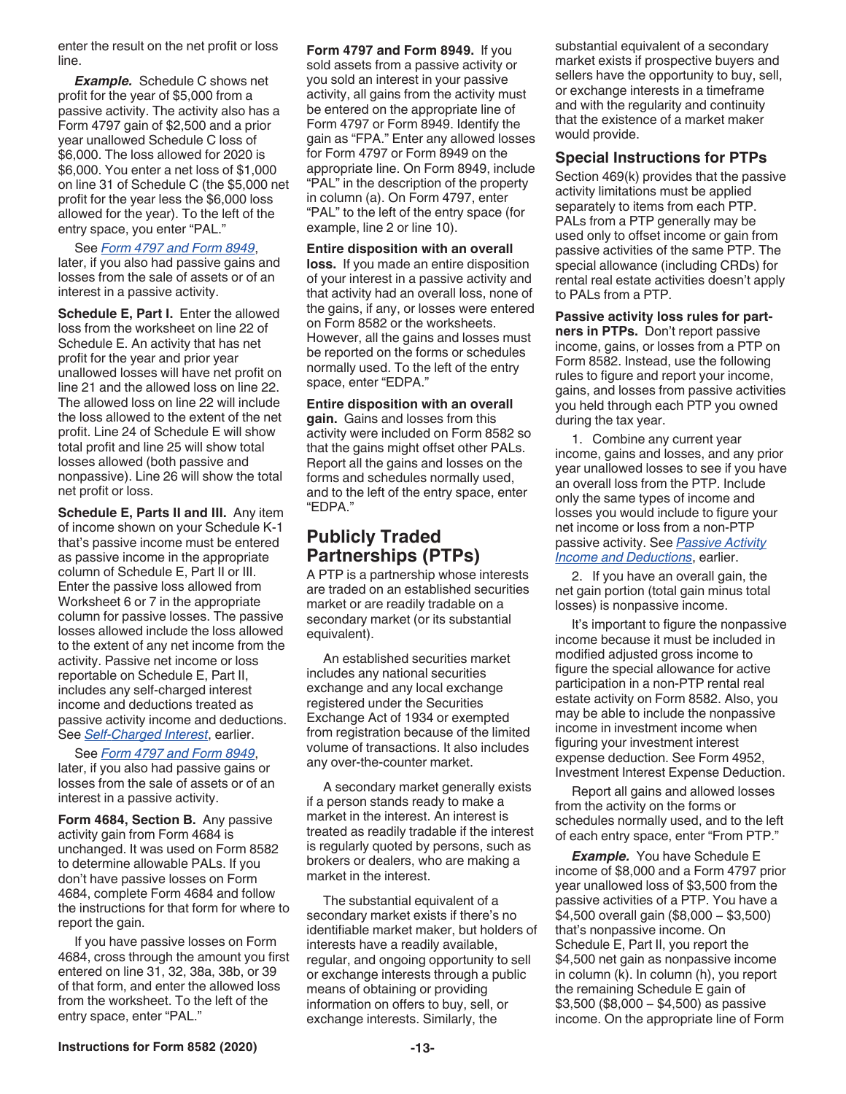<span id="page-12-0"></span>enter the result on the net profit or loss line.

*Example.* Schedule C shows net profit for the year of \$5,000 from a passive activity. The activity also has a Form 4797 gain of \$2,500 and a prior year unallowed Schedule C loss of \$6,000. The loss allowed for 2020 is \$6,000. You enter a net loss of \$1,000 on line 31 of Schedule C (the \$5,000 net profit for the year less the \$6,000 loss allowed for the year). To the left of the entry space, you enter "PAL."

#### See *Form 4797 and Form 8949*,

later, if you also had passive gains and losses from the sale of assets or of an interest in a passive activity.

**Schedule E, Part I.** Enter the allowed loss from the worksheet on line 22 of Schedule E. An activity that has net profit for the year and prior year unallowed losses will have net profit on line 21 and the allowed loss on line 22. The allowed loss on line 22 will include the loss allowed to the extent of the net profit. Line 24 of Schedule E will show total profit and line 25 will show total losses allowed (both passive and nonpassive). Line 26 will show the total net profit or loss.

**Schedule E, Parts II and III.** Any item of income shown on your Schedule K-1 that's passive income must be entered as passive income in the appropriate column of Schedule E, Part II or III. Enter the passive loss allowed from Worksheet 6 or 7 in the appropriate column for passive losses. The passive losses allowed include the loss allowed to the extent of any net income from the activity. Passive net income or loss reportable on Schedule E, Part II, includes any self-charged interest income and deductions treated as passive activity income and deductions. See *[Self-Charged Interest](#page-6-0)*, earlier.

See *Form 4797 and Form 8949*, later, if you also had passive gains or losses from the sale of assets or of an interest in a passive activity.

**Form 4684, Section B.** Any passive activity gain from Form 4684 is unchanged. It was used on Form 8582 to determine allowable PALs. If you don't have passive losses on Form 4684, complete Form 4684 and follow the instructions for that form for where to report the gain.

If you have passive losses on Form 4684, cross through the amount you first entered on line 31, 32, 38a, 38b, or 39 of that form, and enter the allowed loss from the worksheet. To the left of the entry space, enter "PAL."

**Form 4797 and Form 8949.** If you sold assets from a passive activity or you sold an interest in your passive activity, all gains from the activity must be entered on the appropriate line of Form 4797 or Form 8949. Identify the gain as "FPA." Enter any allowed losses for Form 4797 or Form 8949 on the appropriate line. On Form 8949, include "PAL" in the description of the property in column (a). On Form 4797, enter "PAL" to the left of the entry space (for example, line 2 or line 10).

**Entire disposition with an overall loss.** If you made an entire disposition of your interest in a passive activity and that activity had an overall loss, none of the gains, if any, or losses were entered on Form 8582 or the worksheets. However, all the gains and losses must be reported on the forms or schedules normally used. To the left of the entry space, enter "EDPA."

**Entire disposition with an overall gain.** Gains and losses from this activity were included on Form 8582 so that the gains might offset other PALs. Report all the gains and losses on the forms and schedules normally used, and to the left of the entry space, enter "EDPA."

# **Publicly Traded Partnerships (PTPs)**

A PTP is a partnership whose interests are traded on an established securities market or are readily tradable on a secondary market (or its substantial equivalent).

An established securities market includes any national securities exchange and any local exchange registered under the Securities Exchange Act of 1934 or exempted from registration because of the limited volume of transactions. It also includes any over-the-counter market.

A secondary market generally exists if a person stands ready to make a market in the interest. An interest is treated as readily tradable if the interest is regularly quoted by persons, such as brokers or dealers, who are making a market in the interest.

The substantial equivalent of a secondary market exists if there's no identifiable market maker, but holders of interests have a readily available, regular, and ongoing opportunity to sell or exchange interests through a public means of obtaining or providing information on offers to buy, sell, or exchange interests. Similarly, the

substantial equivalent of a secondary market exists if prospective buyers and sellers have the opportunity to buy, sell, or exchange interests in a timeframe and with the regularity and continuity that the existence of a market maker would provide.

#### **Special Instructions for PTPs**

Section 469(k) provides that the passive activity limitations must be applied separately to items from each PTP. PALs from a PTP generally may be used only to offset income or gain from passive activities of the same PTP. The special allowance (including CRDs) for rental real estate activities doesn't apply to PALs from a PTP.

**Passive activity loss rules for partners in PTPs.** Don't report passive income, gains, or losses from a PTP on Form 8582. Instead, use the following rules to figure and report your income, gains, and losses from passive activities you held through each PTP you owned during the tax year.

1. Combine any current year income, gains and losses, and any prior year unallowed losses to see if you have an overall loss from the PTP. Include only the same types of income and losses you would include to figure your net income or loss from a non-PTP passive activity. See *[Passive Activity](#page-5-0)  [Income and Deductions](#page-5-0)*, earlier.

2. If you have an overall gain, the net gain portion (total gain minus total losses) is nonpassive income.

It's important to figure the nonpassive income because it must be included in modified adjusted gross income to figure the special allowance for active participation in a non-PTP rental real estate activity on Form 8582. Also, you may be able to include the nonpassive income in investment income when figuring your investment interest expense deduction. See Form 4952, Investment Interest Expense Deduction.

Report all gains and allowed losses from the activity on the forms or schedules normally used, and to the left of each entry space, enter "From PTP."

*Example.* You have Schedule E income of \$8,000 and a Form 4797 prior year unallowed loss of \$3,500 from the passive activities of a PTP. You have a \$4,500 overall gain (\$8,000 − \$3,500) that's nonpassive income. On Schedule E, Part II, you report the \$4,500 net gain as nonpassive income in column (k). In column (h), you report the remaining Schedule E gain of \$3,500 (\$8,000 − \$4,500) as passive income. On the appropriate line of Form